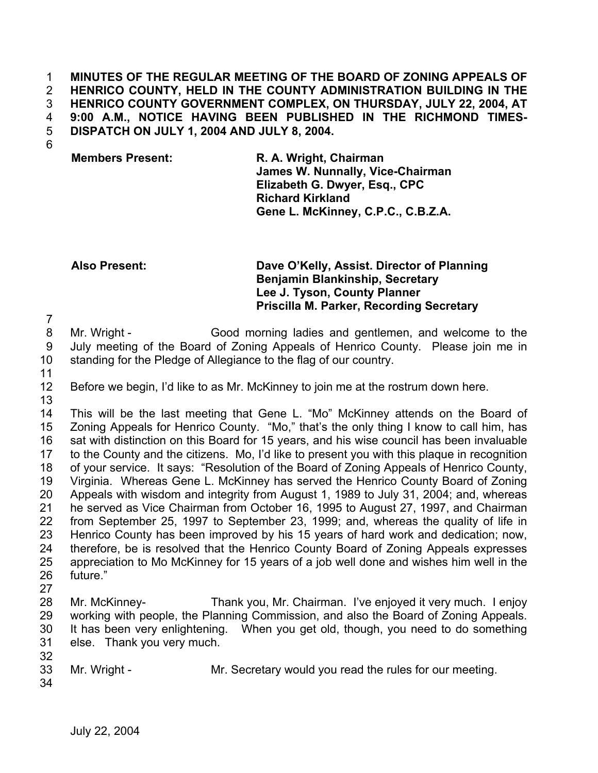### **MINUTES OF THE REGULAR MEETING OF THE BOARD OF ZONING APPEALS OF HENRICO COUNTY, HELD IN THE COUNTY ADMINISTRATION BUILDING IN THE HENRICO COUNTY GOVERNMENT COMPLEX, ON THURSDAY, JULY 22, 2004, AT 9:00 A.M., NOTICE HAVING BEEN PUBLISHED IN THE RICHMOND TIMES-DISPATCH ON JULY 1, 2004 AND JULY 8, 2004.**  1 2 3 4 5

6

## **Members Present: R. A. Wright, Chairman James W. Nunnally, Vice-Chairman Elizabeth G. Dwyer, Esq., CPC Richard Kirkland Gene L. McKinney, C.P.C., C.B.Z.A.**

**Also Present: Dave O'Kelly, Assist. Director of Planning Benjamin Blankinship, Secretary Lee J. Tyson, County Planner Priscilla M. Parker, Recording Secretary**

8 9 10 Mr. Wright - Good morning ladies and gentlemen, and welcome to the July meeting of the Board of Zoning Appeals of Henrico County. Please join me in standing for the Pledge of Allegiance to the flag of our country.

11

7

12 13 Before we begin, I'd like to as Mr. McKinney to join me at the rostrum down here.

14 15 16 17 18 19 20 21 22 23 24 25 26 This will be the last meeting that Gene L. "Mo" McKinney attends on the Board of Zoning Appeals for Henrico County. "Mo," that's the only thing I know to call him, has sat with distinction on this Board for 15 years, and his wise council has been invaluable to the County and the citizens. Mo, I'd like to present you with this plaque in recognition of your service. It says: "Resolution of the Board of Zoning Appeals of Henrico County, Virginia. Whereas Gene L. McKinney has served the Henrico County Board of Zoning Appeals with wisdom and integrity from August 1, 1989 to July 31, 2004; and, whereas he served as Vice Chairman from October 16, 1995 to August 27, 1997, and Chairman from September 25, 1997 to September 23, 1999; and, whereas the quality of life in Henrico County has been improved by his 15 years of hard work and dedication; now, therefore, be is resolved that the Henrico County Board of Zoning Appeals expresses appreciation to Mo McKinney for 15 years of a job well done and wishes him well in the future."

27

28 29 30 31 Mr. McKinney- Thank you, Mr. Chairman. I've enjoyed it very much. I enjoy working with people, the Planning Commission, and also the Board of Zoning Appeals. It has been very enlightening. When you get old, though, you need to do something else. Thank you very much.

- 33 Mr. Wright - Mr. Secretary would you read the rules for our meeting.
- 34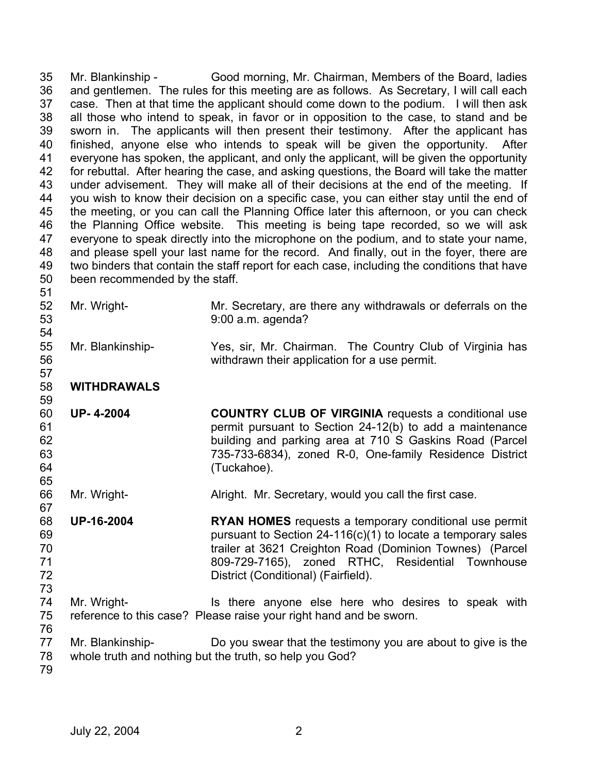35 36 37 38 39 40 41 42 43 44 45 46 47 48 49 50 51 52 53 54 55 56 57 58 59 60 61 62 63 64 65 66 67 68 69 70 71 72 73 74 75 76 77 78 79 Mr. Blankinship - Good morning, Mr. Chairman, Members of the Board, ladies and gentlemen. The rules for this meeting are as follows. As Secretary, I will call each case. Then at that time the applicant should come down to the podium. I will then ask all those who intend to speak, in favor or in opposition to the case, to stand and be sworn in. The applicants will then present their testimony. After the applicant has finished, anyone else who intends to speak will be given the opportunity. After everyone has spoken, the applicant, and only the applicant, will be given the opportunity for rebuttal. After hearing the case, and asking questions, the Board will take the matter under advisement. They will make all of their decisions at the end of the meeting. If you wish to know their decision on a specific case, you can either stay until the end of the meeting, or you can call the Planning Office later this afternoon, or you can check the Planning Office website. This meeting is being tape recorded, so we will ask everyone to speak directly into the microphone on the podium, and to state your name, and please spell your last name for the record. And finally, out in the foyer, there are two binders that contain the staff report for each case, including the conditions that have been recommended by the staff. Mr. Wright- Mr. Secretary, are there any withdrawals or deferrals on the 9:00 a.m. agenda? Mr. Blankinship- Yes, sir, Mr. Chairman. The Country Club of Virginia has withdrawn their application for a use permit. **WITHDRAWALS UP- 4-2004 COUNTRY CLUB OF VIRGINIA** requests a conditional use permit pursuant to Section 24-12(b) to add a maintenance building and parking area at 710 S Gaskins Road (Parcel 735-733-6834), zoned R-0, One-family Residence District (Tuckahoe). Mr. Wright- **Alright. Mr. Secretary, would you call the first case. UP-16-2004 RYAN HOMES** requests a temporary conditional use permit pursuant to Section 24-116(c)(1) to locate a temporary sales trailer at 3621 Creighton Road (Dominion Townes) (Parcel 809-729-7165), zoned RTHC, Residential Townhouse District (Conditional) (Fairfield). Mr. Wright- The Is there anyone else here who desires to speak with reference to this case? Please raise your right hand and be sworn. Mr. Blankinship- Do you swear that the testimony you are about to give is the whole truth and nothing but the truth, so help you God?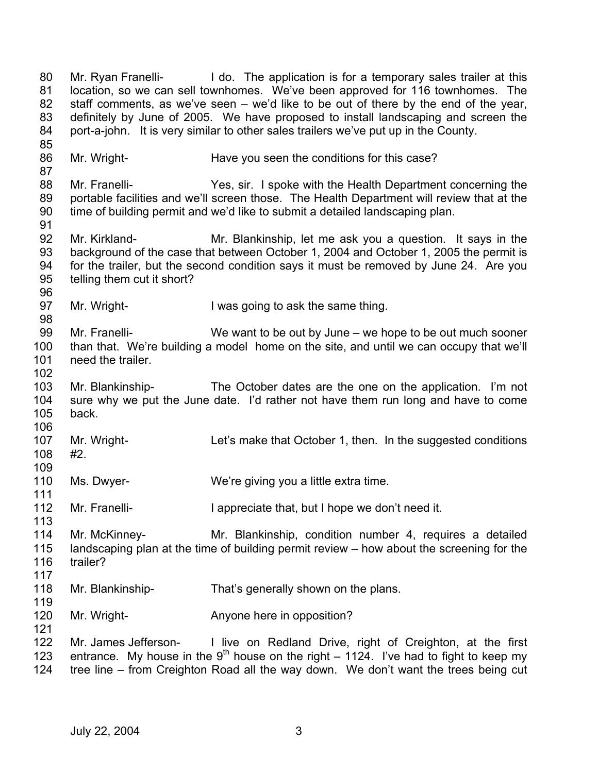80 81 82 83 84 85 86 87 88 89 90 91 92 93 94 95 96 97 98 99 100 101 102 103 104 105 106 107 108 109 110 111 112 113 114 115 116 117 118 119 120 121 122 123 124 Mr. Ryan Franelli- I do. The application is for a temporary sales trailer at this location, so we can sell townhomes. We've been approved for 116 townhomes. The staff comments, as we've seen – we'd like to be out of there by the end of the year, definitely by June of 2005. We have proposed to install landscaping and screen the port-a-john. It is very similar to other sales trailers we've put up in the County. Mr. Wright- Have you seen the conditions for this case? Mr. Franelli- Yes, sir. I spoke with the Health Department concerning the portable facilities and we'll screen those. The Health Department will review that at the time of building permit and we'd like to submit a detailed landscaping plan. Mr. Kirkland- Mr. Blankinship, let me ask you a question. It says in the background of the case that between October 1, 2004 and October 1, 2005 the permit is for the trailer, but the second condition says it must be removed by June 24. Are you telling them cut it short? Mr. Wright- I was going to ask the same thing. Mr. Franelli- We want to be out by June – we hope to be out much sooner than that. We're building a model home on the site, and until we can occupy that we'll need the trailer. Mr. Blankinship- The October dates are the one on the application. I'm not sure why we put the June date. I'd rather not have them run long and have to come back. Mr. Wright- **Let's make that October 1, then.** In the suggested conditions #2. Ms. Dwyer- We're giving you a little extra time. Mr. Franelli- **I** appreciate that, but I hope we don't need it. Mr. McKinney- Mr. Blankinship, condition number 4, requires a detailed landscaping plan at the time of building permit review – how about the screening for the trailer? Mr. Blankinship- That's generally shown on the plans. Mr. Wright- **Anyone here in opposition?** Mr. James Jefferson- I live on Redland Drive, right of Creighton, at the first entrance. My house in the 9<sup>th</sup> house on the right – 1124. I've had to fight to keep my tree line – from Creighton Road all the way down. We don't want the trees being cut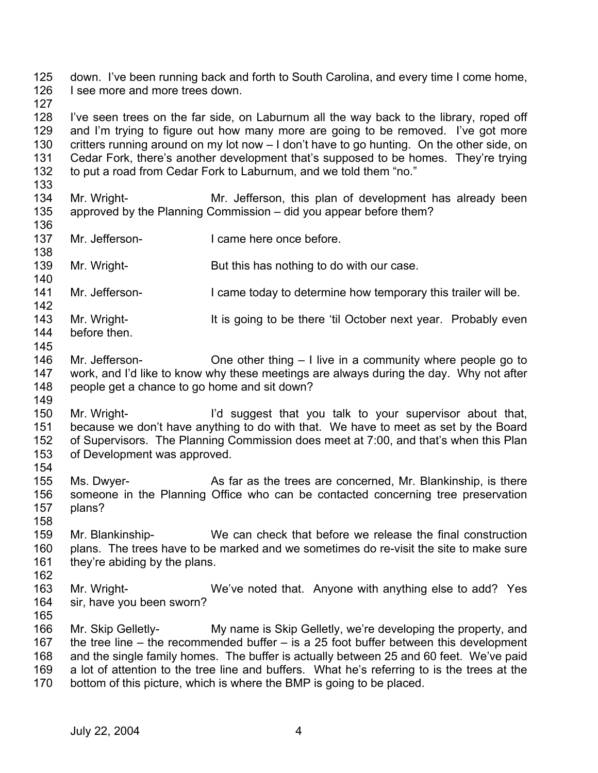125 126 down. I've been running back and forth to South Carolina, and every time I come home, I see more and more trees down.

127

133

128 129 130 131 132 I've seen trees on the far side, on Laburnum all the way back to the library, roped off and I'm trying to figure out how many more are going to be removed. I've got more critters running around on my lot now – I don't have to go hunting. On the other side, on Cedar Fork, there's another development that's supposed to be homes. They're trying to put a road from Cedar Fork to Laburnum, and we told them "no."

- 134 135 Mr. Wright- Mr. Jefferson, this plan of development has already been approved by the Planning Commission – did you appear before them?
- 136 137 Mr. Jefferson-<br>
I came here once before.
- 138 139 Mr. Wright- But this has nothing to do with our case.
- 141 Mr. Jefferson- I came today to determine how temporary this trailer will be.
- 142 143 144 Mr. Wright- **It is going to be there 'til October next year.** Probably even before then.
- 145

- 146 147 148 149 Mr. Jefferson- **One other thing – I live in a community where people go to** work, and I'd like to know why these meetings are always during the day. Why not after people get a chance to go home and sit down?
- 150 151 152 153 154 Mr. Wright- I'd suggest that you talk to your supervisor about that, because we don't have anything to do with that. We have to meet as set by the Board of Supervisors. The Planning Commission does meet at 7:00, and that's when this Plan of Development was approved.
- 155 156 157 158 Ms. Dwyer- As far as the trees are concerned, Mr. Blankinship, is there someone in the Planning Office who can be contacted concerning tree preservation plans?
- 159 160 161 Mr. Blankinship- We can check that before we release the final construction plans. The trees have to be marked and we sometimes do re-visit the site to make sure they're abiding by the plans.
- 162 163 164 165 Mr. Wright- We've noted that. Anyone with anything else to add? Yes sir, have you been sworn?
- 166 167 168 169 170 Mr. Skip Gelletly- My name is Skip Gelletly, we're developing the property, and the tree line – the recommended buffer – is a 25 foot buffer between this development and the single family homes. The buffer is actually between 25 and 60 feet. We've paid a lot of attention to the tree line and buffers. What he's referring to is the trees at the bottom of this picture, which is where the BMP is going to be placed.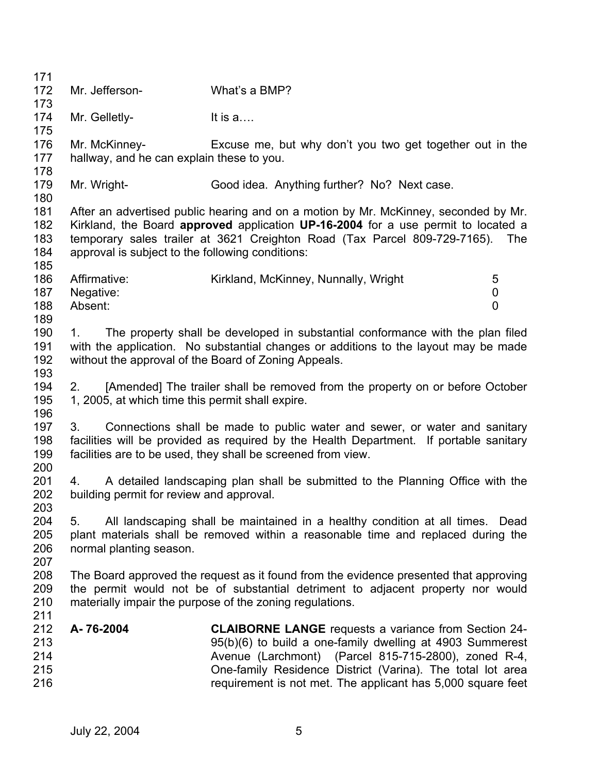171 172 173 174 175 176 177 178 179 180 181 182 183 184 185 186 187 188 189 190 191 192 193 194 195 196 197 198 199 200 201 202 203 204 205 206 207 208 209 210 211 212 213 214 215 216 Mr. Jefferson- What's a BMP? Mr. Gelletly-<br>
It is a.... Mr. McKinney- Excuse me, but why don't you two get together out in the hallway, and he can explain these to you. Mr. Wright- Good idea. Anything further? No? Next case. After an advertised public hearing and on a motion by Mr. McKinney, seconded by Mr. Kirkland, the Board **approved** application **UP-16-2004** for a use permit to located a temporary sales trailer at 3621 Creighton Road (Tax Parcel 809-729-7165). The approval is subject to the following conditions: Affirmative: Kirkland, McKinney, Nunnally, Wright 5 Negative: 0 Absent: 0 1. The property shall be developed in substantial conformance with the plan filed with the application. No substantial changes or additions to the layout may be made without the approval of the Board of Zoning Appeals. 2. [Amended] The trailer shall be removed from the property on or before October 1, 2005, at which time this permit shall expire. 3. Connections shall be made to public water and sewer, or water and sanitary facilities will be provided as required by the Health Department. If portable sanitary facilities are to be used, they shall be screened from view. 4. A detailed landscaping plan shall be submitted to the Planning Office with the building permit for review and approval. 5. All landscaping shall be maintained in a healthy condition at all times. Dead plant materials shall be removed within a reasonable time and replaced during the normal planting season. The Board approved the request as it found from the evidence presented that approving the permit would not be of substantial detriment to adjacent property nor would materially impair the purpose of the zoning regulations. **A- 76-2004 CLAIBORNE LANGE** requests a variance from Section 24- 95(b)(6) to build a one-family dwelling at 4903 Summerest Avenue (Larchmont) (Parcel 815-715-2800), zoned R-4, One-family Residence District (Varina). The total lot area requirement is not met. The applicant has 5,000 square feet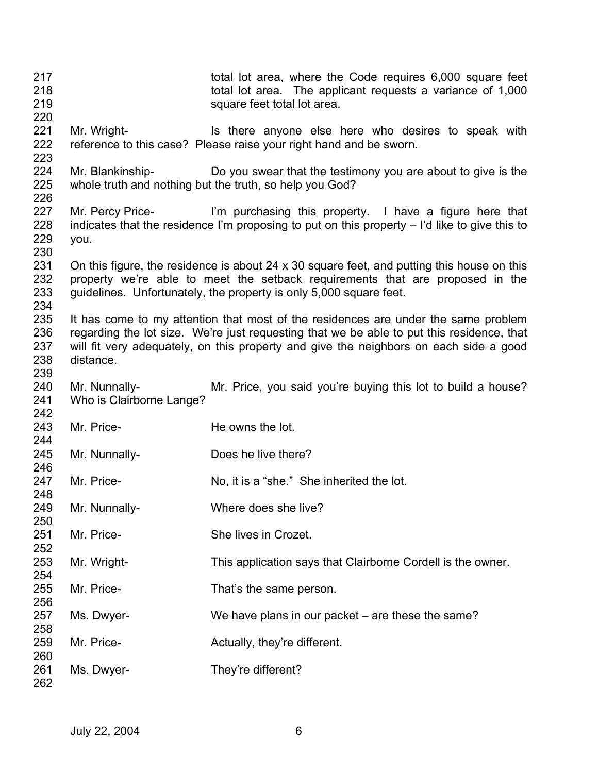| 217<br>218<br>219<br>220 |                                           | total lot area, where the Code requires 6,000 square feet<br>total lot area. The applicant requests a variance of 1,000<br>square feet total lot area.                                                                                                                   |
|--------------------------|-------------------------------------------|--------------------------------------------------------------------------------------------------------------------------------------------------------------------------------------------------------------------------------------------------------------------------|
| 221<br>222<br>223        | Mr. Wright-                               | Is there anyone else here who desires to speak with<br>reference to this case? Please raise your right hand and be sworn.                                                                                                                                                |
| 224<br>225<br>226        |                                           | Mr. Blankinship- Do you swear that the testimony you are about to give is the<br>whole truth and nothing but the truth, so help you God?                                                                                                                                 |
| 227<br>228<br>229<br>230 | you.                                      | Mr. Percy Price- I'm purchasing this property. I have a figure here that<br>indicates that the residence I'm proposing to put on this property $-$ I'd like to give this to                                                                                              |
| 231<br>232<br>233<br>234 |                                           | On this figure, the residence is about 24 x 30 square feet, and putting this house on this<br>property we're able to meet the setback requirements that are proposed in the<br>guidelines. Unfortunately, the property is only 5,000 square feet.                        |
| 235<br>236<br>237<br>238 | distance.                                 | It has come to my attention that most of the residences are under the same problem<br>regarding the lot size. We're just requesting that we be able to put this residence, that<br>will fit very adequately, on this property and give the neighbors on each side a good |
| 239<br>240<br>241<br>242 | Mr. Nunnally-<br>Who is Clairborne Lange? | Mr. Price, you said you're buying this lot to build a house?                                                                                                                                                                                                             |
| 243<br>244               | Mr. Price-                                | He owns the lot.                                                                                                                                                                                                                                                         |
| 245<br>246               | Mr. Nunnally-                             | Does he live there?                                                                                                                                                                                                                                                      |
| 247                      | Mr. Price-                                | No, it is a "she." She inherited the lot.                                                                                                                                                                                                                                |
| 248<br>249               | Mr. Nunnally-                             | Where does she live?                                                                                                                                                                                                                                                     |
| 250<br>251               | Mr. Price-                                | She lives in Crozet.                                                                                                                                                                                                                                                     |
| 252<br>253               | Mr. Wright-                               | This application says that Clairborne Cordell is the owner.                                                                                                                                                                                                              |
| 254<br>255               | Mr. Price-                                | That's the same person.                                                                                                                                                                                                                                                  |
| 256<br>257               | Ms. Dwyer-                                | We have plans in our packet – are these the same?                                                                                                                                                                                                                        |
| 258<br>259               | Mr. Price-                                | Actually, they're different.                                                                                                                                                                                                                                             |
| 260<br>261<br>262        | Ms. Dwyer-                                | They're different?                                                                                                                                                                                                                                                       |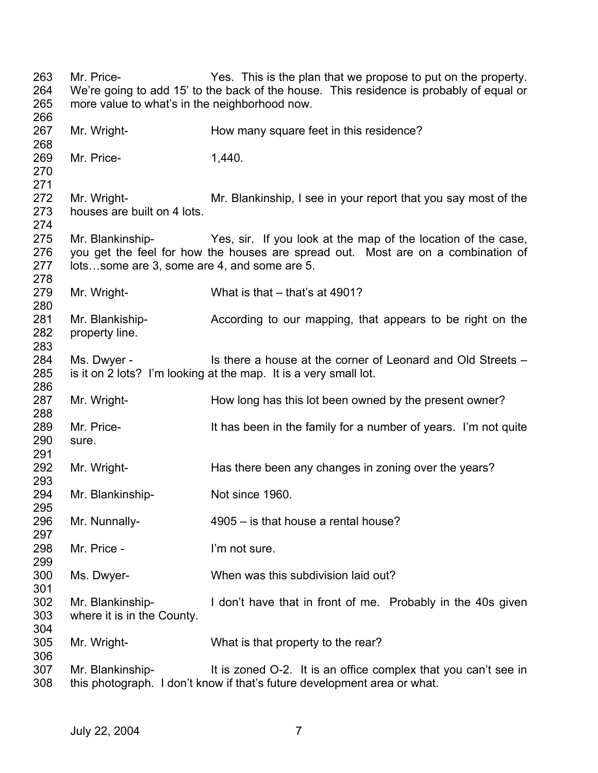Mr. Price- Yes. This is the plan that we propose to put on the property. We're going to add 15' to the back of the house. This residence is probably of equal or more value to what's in the neighborhood now. Mr. Wright- **How many square feet in this residence?** Mr. Price- 1.440. Mr. Wright- Mr. Blankinship, I see in your report that you say most of the houses are built on 4 lots. Mr. Blankinship- Yes, sir. If you look at the map of the location of the case, you get the feel for how the houses are spread out. Most are on a combination of lots…some are 3, some are 4, and some are 5. Mr. Wright- What is that – that's at 4901? Mr. Blankiship- **According to our mapping, that appears to be right on the** property line. Ms. Dwyer - Is there a house at the corner of Leonard and Old Streets – is it on 2 lots? I'm looking at the map. It is a very small lot. Mr. Wright- How long has this lot been owned by the present owner? Mr. Price- It has been in the family for a number of years. I'm not quite sure. Mr. Wright- Has there been any changes in zoning over the years? Mr. Blankinship-<br>
Not since 1960. Mr. Nunnally- 4905 – is that house a rental house? Mr. Price - I'm not sure. Ms. Dwyer- When was this subdivision laid out? Mr. Blankinship- I don't have that in front of me. Probably in the 40s given where it is in the County. Mr. Wright- What is that property to the rear? Mr. Blankinship- It is zoned O-2. It is an office complex that you can't see in this photograph. I don't know if that's future development area or what.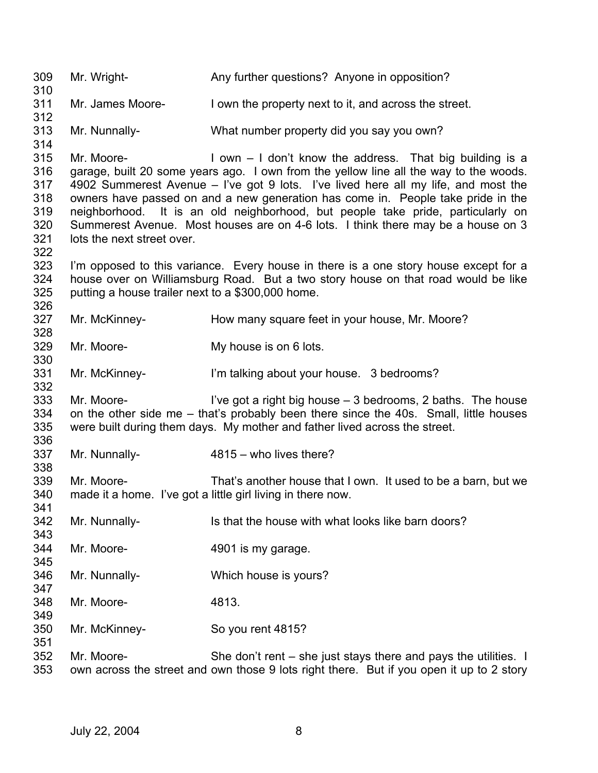309 310 311 312 313 314 315 316 317 318 319 320 321 322 323 324 325 326 327 328 329 330 331 332 333 334 335 336 337 338 339 340 341 342 343 344 345 346 347 348 349 350 351 352 353 Mr. Wright- **Any further questions?** Anyone in opposition? Mr. James Moore- I own the property next to it, and across the street. Mr. Nunnally- What number property did you say you own? Mr. Moore- **I** own – I don't know the address. That big building is a garage, built 20 some years ago. I own from the yellow line all the way to the woods. 4902 Summerest Avenue – I've got 9 lots. I've lived here all my life, and most the owners have passed on and a new generation has come in. People take pride in the neighborhood. It is an old neighborhood, but people take pride, particularly on Summerest Avenue. Most houses are on 4-6 lots. I think there may be a house on 3 lots the next street over. I'm opposed to this variance. Every house in there is a one story house except for a house over on Williamsburg Road. But a two story house on that road would be like putting a house trailer next to a \$300,000 home. Mr. McKinney- **How many square feet in your house, Mr. Moore?** Mr. Moore- My house is on 6 lots. Mr. McKinney- **I'm talking about your house.** 3 bedrooms? Mr. Moore-  $\blacksquare$  I've got a right big house  $-3$  bedrooms, 2 baths. The house on the other side me – that's probably been there since the 40s. Small, little houses were built during them days. My mother and father lived across the street. Mr. Nunnally- 4815 – who lives there? Mr. Moore- That's another house that I own. It used to be a barn, but we made it a home. I've got a little girl living in there now. Mr. Nunnally- Is that the house with what looks like barn doors? Mr. Moore- 4901 is my garage. Mr. Nunnally- Which house is yours? Mr. Moore- 4813. Mr. McKinney- So you rent 4815? Mr. Moore- She don't rent – she just stays there and pays the utilities. I own across the street and own those 9 lots right there. But if you open it up to 2 story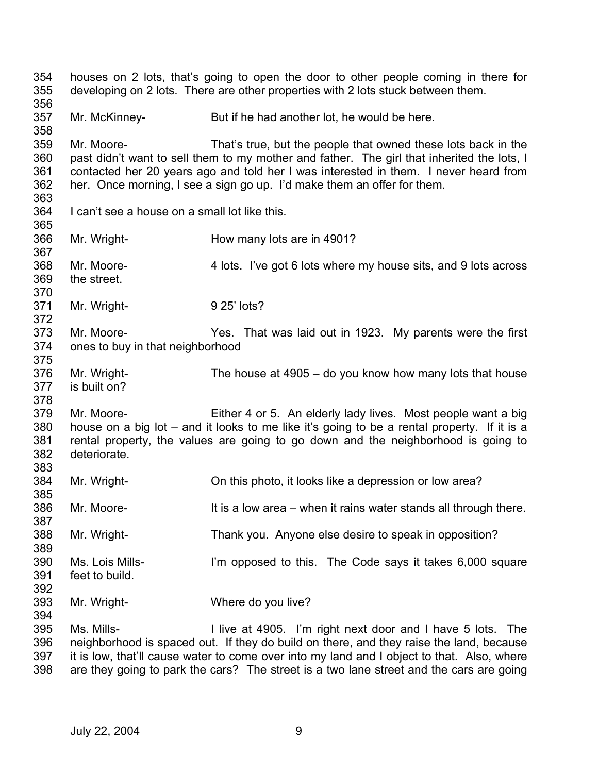354 355 356 357 358 359 360 361 362 363 364 365 366 367 368 369 370 371 372 373 374 375 376 377 378 379 380 381 382 383 384 385 386 387 388 389 390 391 392 393 394 395 396 397 houses on 2 lots, that's going to open the door to other people coming in there for developing on 2 lots. There are other properties with 2 lots stuck between them. Mr. McKinney- But if he had another lot, he would be here. Mr. Moore- That's true, but the people that owned these lots back in the past didn't want to sell them to my mother and father. The girl that inherited the lots, I contacted her 20 years ago and told her I was interested in them. I never heard from her. Once morning, I see a sign go up. I'd make them an offer for them. I can't see a house on a small lot like this. Mr. Wright- **How many lots are in 4901?** Mr. Moore- 4 lots. I've got 6 lots where my house sits, and 9 lots across the street. Mr. Wright- 9 25' lots? Mr. Moore- Yes. That was laid out in 1923. My parents were the first ones to buy in that neighborhood Mr. Wright- The house at 4905 – do you know how many lots that house is built on? Mr. Moore- Either 4 or 5. An elderly lady lives. Most people want a big house on a big lot – and it looks to me like it's going to be a rental property. If it is a rental property, the values are going to go down and the neighborhood is going to deteriorate. Mr. Wright- On this photo, it looks like a depression or low area? Mr. Moore- It is a low area – when it rains water stands all through there. Mr. Wright- Thank you. Anyone else desire to speak in opposition? Ms. Lois Mills- I'm opposed to this. The Code says it takes 6,000 square feet to build. Mr. Wright- Where do you live? Ms. Mills- **I** live at 4905. I'm right next door and I have 5 lots. The neighborhood is spaced out. If they do build on there, and they raise the land, because it is low, that'll cause water to come over into my land and I object to that. Also, where

398 are they going to park the cars? The street is a two lane street and the cars are going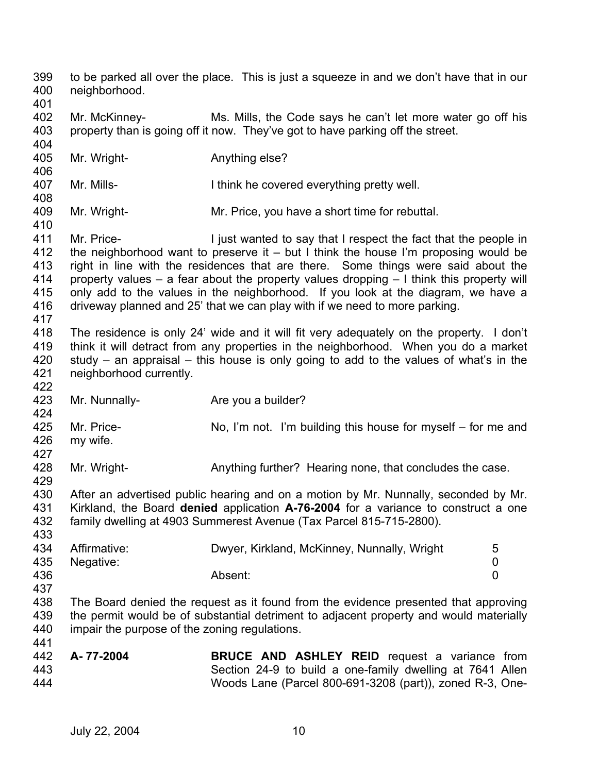399 400 401 402 403 404 405 406 407 408 409 410 411 412 413 414 415 416 417 418 419 420 421 422 423 424 425 426 427 428 429 430 431 432 433 434 435 436 437 438 439 440 441 442 443 444 to be parked all over the place. This is just a squeeze in and we don't have that in our neighborhood. Mr. McKinney- Ms. Mills, the Code says he can't let more water go off his property than is going off it now. They've got to have parking off the street. Mr. Wright- **Anything else?** Mr. Mills- **I** think he covered everything pretty well. Mr. Wright- Mr. Price, you have a short time for rebuttal. Mr. Price- I just wanted to say that I respect the fact that the people in the neighborhood want to preserve it – but I think the house I'm proposing would be right in line with the residences that are there. Some things were said about the property values – a fear about the property values dropping – I think this property will only add to the values in the neighborhood. If you look at the diagram, we have a driveway planned and 25' that we can play with if we need to more parking. The residence is only 24' wide and it will fit very adequately on the property. I don't think it will detract from any properties in the neighborhood. When you do a market study – an appraisal – this house is only going to add to the values of what's in the neighborhood currently. Mr. Nunnally-<br>
Are you a builder? Mr. Price- No, I'm not. I'm building this house for myself – for me and my wife. Mr. Wright- **Anything further?** Hearing none, that concludes the case. After an advertised public hearing and on a motion by Mr. Nunnally, seconded by Mr. Kirkland, the Board **denied** application **A-76-2004** for a variance to construct a one family dwelling at 4903 Summerest Avenue (Tax Parcel 815-715-2800). Affirmative: Dwyer, Kirkland, McKinney, Nunnally, Wright 5 Negative: 0 Absent: 0 The Board denied the request as it found from the evidence presented that approving the permit would be of substantial detriment to adjacent property and would materially impair the purpose of the zoning regulations. **A- 77-2004 BRUCE AND ASHLEY REID** request a variance from Section 24-9 to build a one-family dwelling at 7641 Allen Woods Lane (Parcel 800-691-3208 (part)), zoned R-3, One-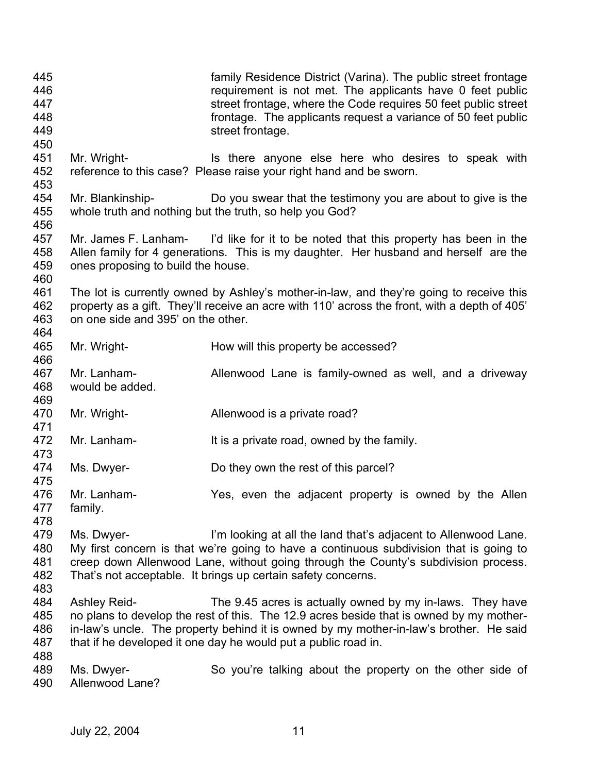| 445<br>446<br>447<br>448<br>449<br>450 |                                    | family Residence District (Varina). The public street frontage<br>requirement is not met. The applicants have 0 feet public<br>street frontage, where the Code requires 50 feet public street<br>frontage. The applicants request a variance of 50 feet public<br>street frontage.                               |
|----------------------------------------|------------------------------------|------------------------------------------------------------------------------------------------------------------------------------------------------------------------------------------------------------------------------------------------------------------------------------------------------------------|
| 451<br>452<br>453                      | Mr. Wright-                        | Is there anyone else here who desires to speak with<br>reference to this case? Please raise your right hand and be sworn.                                                                                                                                                                                        |
| 454<br>455<br>456                      | Mr. Blankinship-                   | Do you swear that the testimony you are about to give is the<br>whole truth and nothing but the truth, so help you God?                                                                                                                                                                                          |
| 457<br>458<br>459<br>460               | ones proposing to build the house. | Mr. James F. Lanham- I'd like for it to be noted that this property has been in the<br>Allen family for 4 generations. This is my daughter. Her husband and herself are the                                                                                                                                      |
| 461<br>462<br>463<br>464               | on one side and 395' on the other. | The lot is currently owned by Ashley's mother-in-law, and they're going to receive this<br>property as a gift. They'll receive an acre with 110' across the front, with a depth of 405'                                                                                                                          |
| 465<br>466                             | Mr. Wright-                        | How will this property be accessed?                                                                                                                                                                                                                                                                              |
| 467<br>468<br>469                      | Mr. Lanham-<br>would be added.     | Allenwood Lane is family-owned as well, and a driveway                                                                                                                                                                                                                                                           |
| 470<br>471                             | Mr. Wright-                        | Allenwood is a private road?                                                                                                                                                                                                                                                                                     |
| 472<br>473                             | Mr. Lanham-                        | It is a private road, owned by the family.                                                                                                                                                                                                                                                                       |
| 474<br>475                             | Ms. Dwyer-                         | Do they own the rest of this parcel?                                                                                                                                                                                                                                                                             |
| 476<br>477<br>478                      | Mr. Lanham-<br>family.             | Yes, even the adjacent property is owned by the Allen                                                                                                                                                                                                                                                            |
| 479<br>480<br>481<br>482<br>483        | Ms. Dwyer-                         | I'm looking at all the land that's adjacent to Allenwood Lane.<br>My first concern is that we're going to have a continuous subdivision that is going to<br>creep down Allenwood Lane, without going through the County's subdivision process.<br>That's not acceptable. It brings up certain safety concerns.   |
| 484<br>485<br>486<br>487               | <b>Ashley Reid-</b>                | The 9.45 acres is actually owned by my in-laws. They have<br>no plans to develop the rest of this. The 12.9 acres beside that is owned by my mother-<br>in-law's uncle. The property behind it is owned by my mother-in-law's brother. He said<br>that if he developed it one day he would put a public road in. |
| 488<br>489<br>490                      | Ms. Dwyer-<br>Allenwood Lane?      | So you're talking about the property on the other side of                                                                                                                                                                                                                                                        |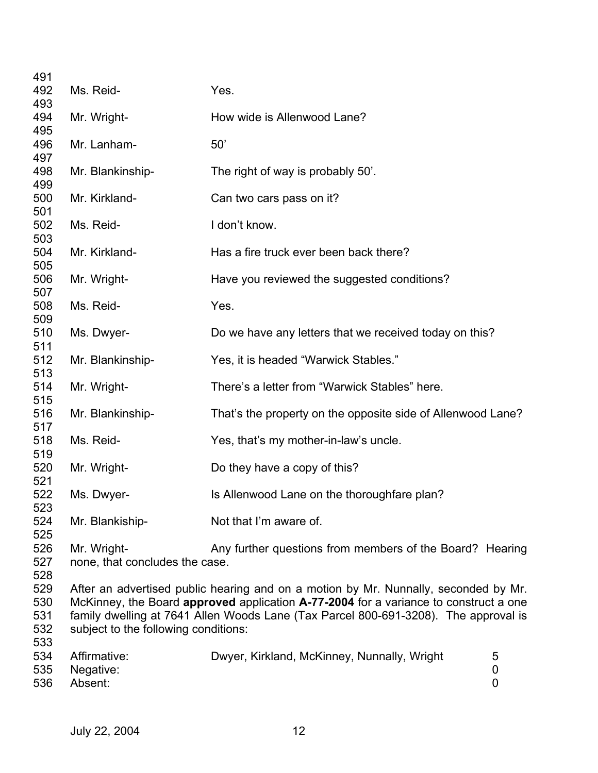| 491<br>492                      | Ms. Reid-                                     | Yes.                                                                                                                                                                                                                                                               |             |
|---------------------------------|-----------------------------------------------|--------------------------------------------------------------------------------------------------------------------------------------------------------------------------------------------------------------------------------------------------------------------|-------------|
| 493<br>494                      | Mr. Wright-                                   | How wide is Allenwood Lane?                                                                                                                                                                                                                                        |             |
| 495<br>496<br>497               | Mr. Lanham-                                   | 50'                                                                                                                                                                                                                                                                |             |
| 498<br>499                      | Mr. Blankinship-                              | The right of way is probably 50'.                                                                                                                                                                                                                                  |             |
| 500<br>501                      | Mr. Kirkland-                                 | Can two cars pass on it?                                                                                                                                                                                                                                           |             |
| 502<br>503                      | Ms. Reid-                                     | I don't know.                                                                                                                                                                                                                                                      |             |
| 504<br>505                      | Mr. Kirkland-                                 | Has a fire truck ever been back there?                                                                                                                                                                                                                             |             |
| 506<br>507                      | Mr. Wright-                                   | Have you reviewed the suggested conditions?                                                                                                                                                                                                                        |             |
| 508<br>509                      | Ms. Reid-                                     | Yes.                                                                                                                                                                                                                                                               |             |
| 510<br>511                      | Ms. Dwyer-                                    | Do we have any letters that we received today on this?                                                                                                                                                                                                             |             |
| 512<br>513                      | Mr. Blankinship-                              | Yes, it is headed "Warwick Stables."                                                                                                                                                                                                                               |             |
| 514<br>515                      | Mr. Wright-                                   | There's a letter from "Warwick Stables" here.                                                                                                                                                                                                                      |             |
| 516<br>517                      | Mr. Blankinship-                              | That's the property on the opposite side of Allenwood Lane?                                                                                                                                                                                                        |             |
| 518<br>519                      | Ms. Reid-                                     | Yes, that's my mother-in-law's uncle.                                                                                                                                                                                                                              |             |
| 520<br>521                      | Mr. Wright-                                   | Do they have a copy of this?                                                                                                                                                                                                                                       |             |
| 522<br>523                      | Ms. Dwyer-                                    | Is Allenwood Lane on the thoroughfare plan?                                                                                                                                                                                                                        |             |
| 524<br>525                      | Mr. Blankiship-                               | Not that I'm aware of.                                                                                                                                                                                                                                             |             |
| 526<br>527<br>528               | Mr. Wright-<br>none, that concludes the case. | Any further questions from members of the Board? Hearing                                                                                                                                                                                                           |             |
| 529<br>530<br>531<br>532<br>533 | subject to the following conditions:          | After an advertised public hearing and on a motion by Mr. Nunnally, seconded by Mr.<br>McKinney, the Board approved application A-77-2004 for a variance to construct a one<br>family dwelling at 7641 Allen Woods Lane (Tax Parcel 800-691-3208). The approval is |             |
| 534<br>535<br>536               | Affirmative:<br>Negative:<br>Absent:          | Dwyer, Kirkland, McKinney, Nunnally, Wright                                                                                                                                                                                                                        | 5<br>0<br>0 |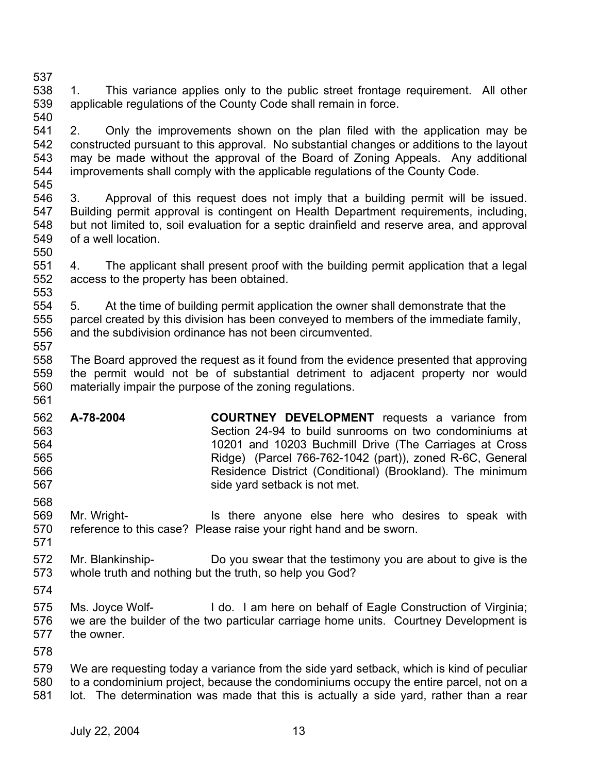- 537 538 539 540 1. This variance applies only to the public street frontage requirement. All other applicable regulations of the County Code shall remain in force.
- 541 542 543 544 2. Only the improvements shown on the plan filed with the application may be constructed pursuant to this approval. No substantial changes or additions to the layout may be made without the approval of the Board of Zoning Appeals. Any additional improvements shall comply with the applicable regulations of the County Code.
- 545
- 546 547 548 549 550 3. Approval of this request does not imply that a building permit will be issued. Building permit approval is contingent on Health Department requirements, including, but not limited to, soil evaluation for a septic drainfield and reserve area, and approval of a well location.
- 551 552 553 4. The applicant shall present proof with the building permit application that a legal access to the property has been obtained.
- 554 555 556 557 5. At the time of building permit application the owner shall demonstrate that the parcel created by this division has been conveyed to members of the immediate family, and the subdivision ordinance has not been circumvented.
- 558 559 560 561 The Board approved the request as it found from the evidence presented that approving the permit would not be of substantial detriment to adjacent property nor would materially impair the purpose of the zoning regulations.
- 562 563 564 565 566 567 **A-78-2004 COURTNEY DEVELOPMENT** requests a variance from Section 24-94 to build sunrooms on two condominiums at 10201 and 10203 Buchmill Drive (The Carriages at Cross Ridge) (Parcel 766-762-1042 (part)), zoned R-6C, General Residence District (Conditional) (Brookland). The minimum side yard setback is not met.
- 569 570 571 Mr. Wright- Is there anyone else here who desires to speak with reference to this case? Please raise your right hand and be sworn.
- 572 573 Mr. Blankinship- Do you swear that the testimony you are about to give is the whole truth and nothing but the truth, so help you God?
- 574

568

- 575 576 577 Ms. Joyce Wolf- I do. I am here on behalf of Eagle Construction of Virginia; we are the builder of the two particular carriage home units. Courtney Development is the owner.
- 578

579 580 581 We are requesting today a variance from the side yard setback, which is kind of peculiar to a condominium project, because the condominiums occupy the entire parcel, not on a lot. The determination was made that this is actually a side yard, rather than a rear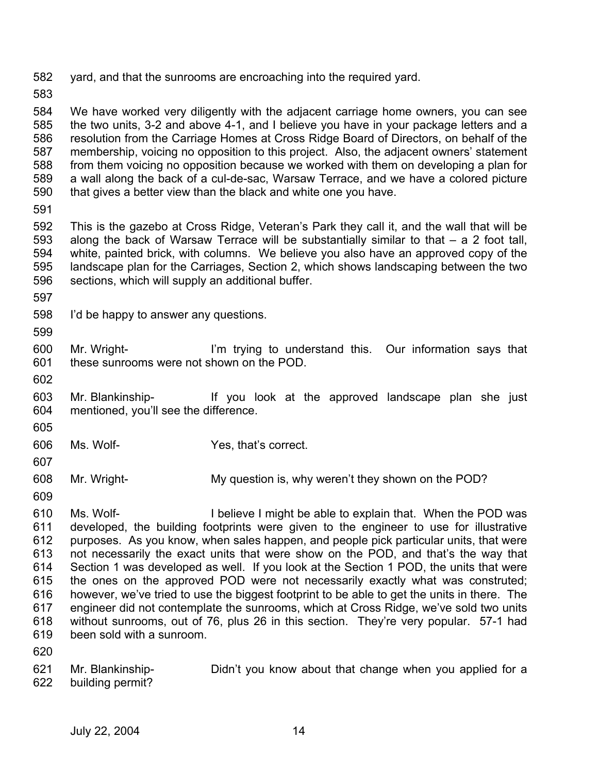582 yard, and that the sunrooms are encroaching into the required yard.

583

584 585 586 587 588 589 590 We have worked very diligently with the adjacent carriage home owners, you can see the two units, 3-2 and above 4-1, and I believe you have in your package letters and a resolution from the Carriage Homes at Cross Ridge Board of Directors, on behalf of the membership, voicing no opposition to this project. Also, the adjacent owners' statement from them voicing no opposition because we worked with them on developing a plan for a wall along the back of a cul-de-sac, Warsaw Terrace, and we have a colored picture that gives a better view than the black and white one you have.

591

592 593 594 595 596 This is the gazebo at Cross Ridge, Veteran's Park they call it, and the wall that will be along the back of Warsaw Terrace will be substantially similar to that  $-$  a 2 foot tall, white, painted brick, with columns. We believe you also have an approved copy of the landscape plan for the Carriages, Section 2, which shows landscaping between the two sections, which will supply an additional buffer.

- 597
- 598 I'd be happy to answer any questions.
- 599

600 601 Mr. Wright- I'm trying to understand this. Our information says that these sunrooms were not shown on the POD.

602

603 604 Mr. Blankinship- If you look at the approved landscape plan she just mentioned, you'll see the difference.

605

606 Ms. Wolf- Yes, that's correct.

607

608 Mr. Wright- My question is, why weren't they shown on the POD?

609

610 611 612 613 614 615 616 617 618 619 Ms. Wolf- I believe I might be able to explain that. When the POD was developed, the building footprints were given to the engineer to use for illustrative purposes. As you know, when sales happen, and people pick particular units, that were not necessarily the exact units that were show on the POD, and that's the way that Section 1 was developed as well. If you look at the Section 1 POD, the units that were the ones on the approved POD were not necessarily exactly what was construted; however, we've tried to use the biggest footprint to be able to get the units in there. The engineer did not contemplate the sunrooms, which at Cross Ridge, we've sold two units without sunrooms, out of 76, plus 26 in this section. They're very popular. 57-1 had been sold with a sunroom.

620

621 622 Mr. Blankinship- Didn't you know about that change when you applied for a building permit?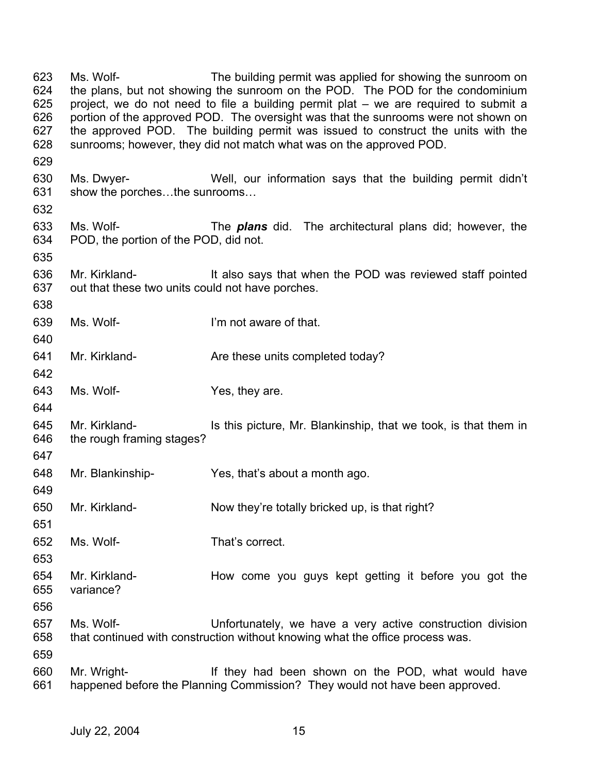623 624 625 626 627 628 629 630 631 632 633 634 635 636 637 638 639 640 641 642 643 644 645 646 647 648 649 650 651 652 653 654 655 656 657 658 659 660 661 Ms. Wolf- The building permit was applied for showing the sunroom on the plans, but not showing the sunroom on the POD. The POD for the condominium project, we do not need to file a building permit plat – we are required to submit a portion of the approved POD. The oversight was that the sunrooms were not shown on the approved POD. The building permit was issued to construct the units with the sunrooms; however, they did not match what was on the approved POD. Ms. Dwyer- Well, our information says that the building permit didn't show the porches…the sunrooms… Ms. Wolf- The *plans* did. The architectural plans did; however, the POD, the portion of the POD, did not. Mr. Kirkland- **It also says that when the POD was reviewed staff pointed** out that these two units could not have porches. Ms. Wolf- I'm not aware of that. Mr. Kirkland- **Are these units completed today?** Ms. Wolf- Yes, they are. Mr. Kirkland- Is this picture, Mr. Blankinship, that we took, is that them in the rough framing stages? Mr. Blankinship- Yes, that's about a month ago. Mr. Kirkland- Now they're totally bricked up, is that right? Ms. Wolf- That's correct. Mr. Kirkland- **How come you guys kept getting it before you got the** variance? Ms. Wolf- Unfortunately, we have a very active construction division that continued with construction without knowing what the office process was. Mr. Wright- They had been shown on the POD, what would have happened before the Planning Commission? They would not have been approved.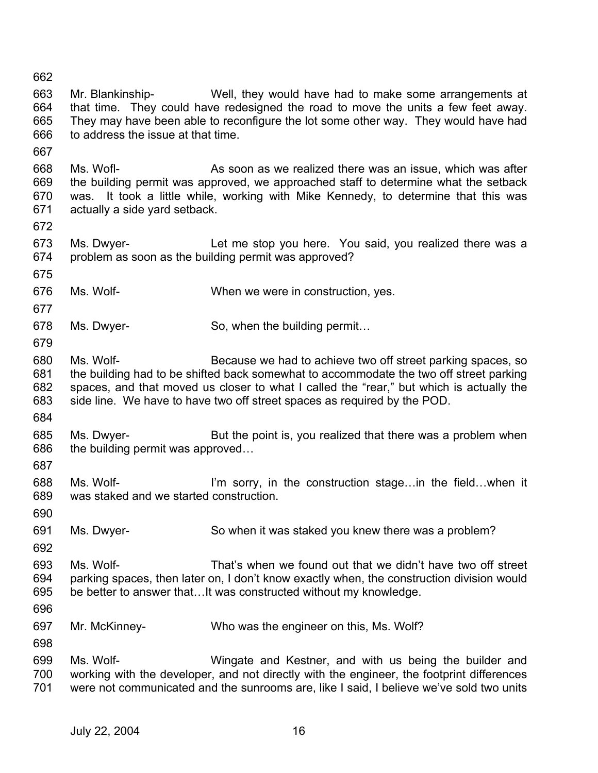664 665 666 667 668 669 670 671 672 673 674 675 676 677 678 679 680 681 682 683 684 685 686 687 688 689 690 691 692 693 694 695 696 697 698 699 700 701 Mr. Blankinship- Well, they would have had to make some arrangements at that time. They could have redesigned the road to move the units a few feet away. They may have been able to reconfigure the lot some other way. They would have had to address the issue at that time. Ms. Wofl- **As soon as we realized there was an issue, which was after** the building permit was approved, we approached staff to determine what the setback was. It took a little while, working with Mike Kennedy, to determine that this was actually a side yard setback. Ms. Dwyer- Let me stop you here. You said, you realized there was a problem as soon as the building permit was approved? Ms. Wolf- When we were in construction, yes. Ms. Dwyer- So, when the building permit... Ms. Wolf- Because we had to achieve two off street parking spaces, so the building had to be shifted back somewhat to accommodate the two off street parking spaces, and that moved us closer to what I called the "rear," but which is actually the side line. We have to have two off street spaces as required by the POD. Ms. Dwyer- But the point is, you realized that there was a problem when the building permit was approved… Ms. Wolf- I'm sorry, in the construction stage...in the field...when it was staked and we started construction. Ms. Dwyer- So when it was staked you knew there was a problem? Ms. Wolf- That's when we found out that we didn't have two off street parking spaces, then later on, I don't know exactly when, the construction division would be better to answer that…It was constructed without my knowledge. Mr. McKinney- Who was the engineer on this, Ms. Wolf? Ms. Wolf- Wingate and Kestner, and with us being the builder and working with the developer, and not directly with the engineer, the footprint differences were not communicated and the sunrooms are, like I said, I believe we've sold two units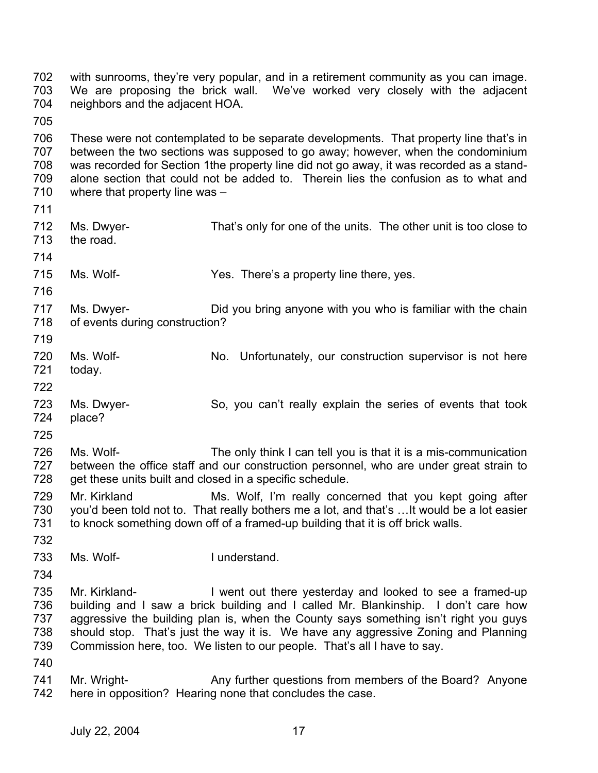702 703 704 705 706 707 708 709 710 711 712 713 714 715 716 717 718 719 720 721 722 723 724 725 726 727 728 729 730 731 732 733 734 735 736 737 738 739 740 741 742 with sunrooms, they're very popular, and in a retirement community as you can image. We are proposing the brick wall. We've worked very closely with the adjacent neighbors and the adjacent HOA. These were not contemplated to be separate developments. That property line that's in between the two sections was supposed to go away; however, when the condominium was recorded for Section 1the property line did not go away, it was recorded as a standalone section that could not be added to. Therein lies the confusion as to what and where that property line was – Ms. Dwyer- That's only for one of the units. The other unit is too close to the road. Ms. Wolf- Yes. There's a property line there, yes. Ms. Dwyer- Did you bring anyone with you who is familiar with the chain of events during construction? Ms. Wolf- No. Unfortunately, our construction supervisor is not here today. Ms. Dwyer- So, you can't really explain the series of events that took place? Ms. Wolf- The only think I can tell you is that it is a mis-communication between the office staff and our construction personnel, who are under great strain to get these units built and closed in a specific schedule. Mr. Kirkland Ms. Wolf, I'm really concerned that you kept going after you'd been told not to. That really bothers me a lot, and that's …It would be a lot easier to knock something down off of a framed-up building that it is off brick walls. Ms. Wolf-<br>
I understand. Mr. Kirkland- I went out there yesterday and looked to see a framed-up building and I saw a brick building and I called Mr. Blankinship. I don't care how aggressive the building plan is, when the County says something isn't right you guys should stop. That's just the way it is. We have any aggressive Zoning and Planning Commission here, too. We listen to our people. That's all I have to say. Mr. Wright- **Any further questions from members of the Board?** Anyone here in opposition? Hearing none that concludes the case.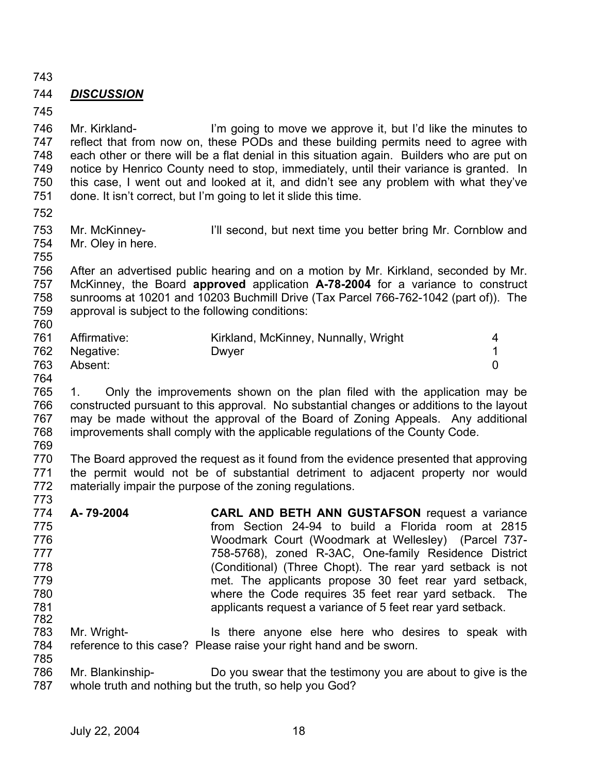743

# 744 *DISCUSSION*

745

746 747 748 749 750 751 Mr. Kirkland- I'm going to move we approve it, but I'd like the minutes to reflect that from now on, these PODs and these building permits need to agree with each other or there will be a flat denial in this situation again. Builders who are put on notice by Henrico County need to stop, immediately, until their variance is granted. In this case, I went out and looked at it, and didn't see any problem with what they've done. It isn't correct, but I'm going to let it slide this time.

752

753 754 Mr. McKinney- I'll second, but next time you better bring Mr. Cornblow and Mr. Oley in here.

755

756 757 758 759 760 After an advertised public hearing and on a motion by Mr. Kirkland, seconded by Mr. McKinney, the Board **approved** application **A-78-2004** for a variance to construct sunrooms at 10201 and 10203 Buchmill Drive (Tax Parcel 766-762-1042 (part of)). The approval is subject to the following conditions:

| 761 | Affirmative: | Kirkland, McKinney, Nunnally, Wright |  |
|-----|--------------|--------------------------------------|--|
| 762 | Negative:    | Dwyer                                |  |
| 763 | Absent:      |                                      |  |

764

785

765 766 767 768 769 1. Only the improvements shown on the plan filed with the application may be constructed pursuant to this approval. No substantial changes or additions to the layout may be made without the approval of the Board of Zoning Appeals. Any additional improvements shall comply with the applicable regulations of the County Code.

770 771 772 773 The Board approved the request as it found from the evidence presented that approving the permit would not be of substantial detriment to adjacent property nor would materially impair the purpose of the zoning regulations.

- 774 775 776 777 778 779 780 781 782 **A- 79-2004 CARL AND BETH ANN GUSTAFSON** request a variance from Section 24-94 to build a Florida room at 2815 Woodmark Court (Woodmark at Wellesley) (Parcel 737- 758-5768), zoned R-3AC, One-family Residence District (Conditional) (Three Chopt). The rear yard setback is not met. The applicants propose 30 feet rear yard setback, where the Code requires 35 feet rear yard setback. The applicants request a variance of 5 feet rear yard setback.
- 783 784 Mr. Wright- Is there anyone else here who desires to speak with reference to this case? Please raise your right hand and be sworn.

786 787 Mr. Blankinship- Do you swear that the testimony you are about to give is the whole truth and nothing but the truth, so help you God?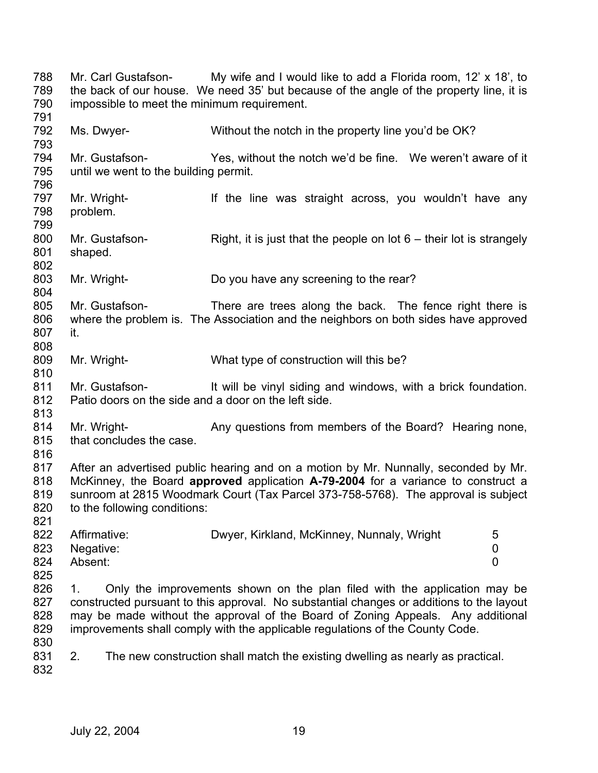788 789 790 791 792 793 794 795 796 797 798 799 800 801 802 803 804 805 806 807 808 809 810 811 812 813 814 815 816 817 818 819 820 821 822 823 824 825 826 827 828 829 830 831 832 Mr. Carl Gustafson- My wife and I would like to add a Florida room, 12' x 18', to the back of our house. We need 35' but because of the angle of the property line, it is impossible to meet the minimum requirement. Ms. Dwyer- Without the notch in the property line you'd be OK? Mr. Gustafson- Yes, without the notch we'd be fine. We weren't aware of it until we went to the building permit. Mr. Wright- If the line was straight across, you wouldn't have any problem. Mr. Gustafson- Right, it is just that the people on lot  $6 -$  their lot is strangely shaped. Mr. Wright- Do you have any screening to the rear? Mr. Gustafson- There are trees along the back. The fence right there is where the problem is. The Association and the neighbors on both sides have approved it. Mr. Wright- What type of construction will this be? Mr. Gustafson- It will be vinyl siding and windows, with a brick foundation. Patio doors on the side and a door on the left side. Mr. Wright- **Any questions from members of the Board?** Hearing none, that concludes the case. After an advertised public hearing and on a motion by Mr. Nunnally, seconded by Mr. McKinney, the Board **approved** application **A-79-2004** for a variance to construct a sunroom at 2815 Woodmark Court (Tax Parcel 373-758-5768). The approval is subject to the following conditions: Affirmative: Dwyer, Kirkland, McKinney, Nunnaly, Wright 5 Negative: 0 Absent: 0 1. Only the improvements shown on the plan filed with the application may be constructed pursuant to this approval. No substantial changes or additions to the layout may be made without the approval of the Board of Zoning Appeals. Any additional improvements shall comply with the applicable regulations of the County Code. 2. The new construction shall match the existing dwelling as nearly as practical.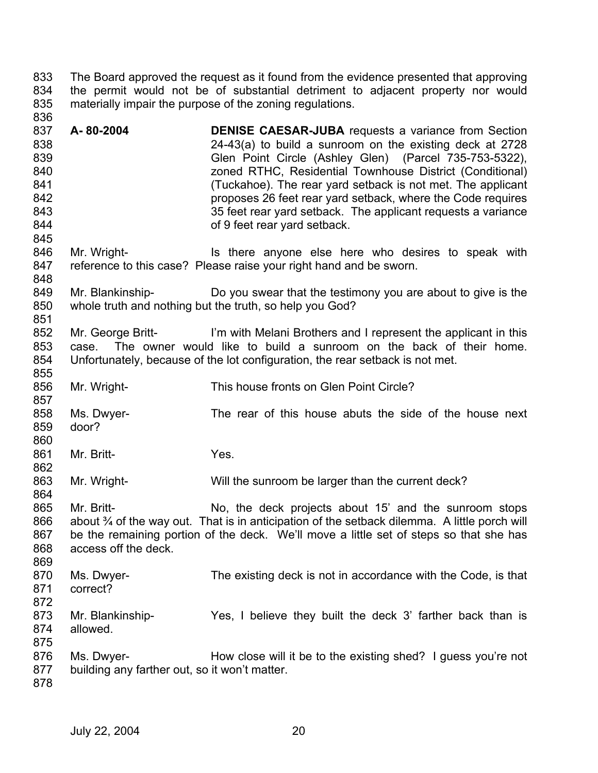833 834 835 836 The Board approved the request as it found from the evidence presented that approving the permit would not be of substantial detriment to adjacent property nor would materially impair the purpose of the zoning regulations.

837 838 839 840 841 842 843 844 845 **A- 80-2004 DENISE CAESAR-JUBA** requests a variance from Section 24-43(a) to build a sunroom on the existing deck at 2728 Glen Point Circle (Ashley Glen) (Parcel 735-753-5322), zoned RTHC, Residential Townhouse District (Conditional) (Tuckahoe). The rear yard setback is not met. The applicant proposes 26 feet rear yard setback, where the Code requires 35 feet rear yard setback. The applicant requests a variance of 9 feet rear yard setback.

846 847 848 Mr. Wright- Is there anyone else here who desires to speak with reference to this case? Please raise your right hand and be sworn.

849 850 851 Mr. Blankinship- Do you swear that the testimony you are about to give is the whole truth and nothing but the truth, so help you God?

852 853 854 Mr. George Britt- I'm with Melani Brothers and I represent the applicant in this case. The owner would like to build a sunroom on the back of their home. Unfortunately, because of the lot configuration, the rear setback is not met.

856 Mr. Wright- This house fronts on Glen Point Circle?

858 859 Ms. Dwyer- The rear of this house abuts the side of the house next door?

861 Mr. Britt- Yes.

863 864 Mr. Wright- Will the sunroom be larger than the current deck?

865 866 867 868 Mr. Britt- No, the deck projects about 15' and the sunroom stops about ¾ of the way out. That is in anticipation of the setback dilemma. A little porch will be the remaining portion of the deck. We'll move a little set of steps so that she has access off the deck.

869 870 871 Ms. Dwyer- The existing deck is not in accordance with the Code, is that correct?

872

855

857

860

862

873 874 875 Mr. Blankinship- Yes, I believe they built the deck 3' farther back than is allowed.

876 877 Ms. Dwyer- How close will it be to the existing shed? I guess you're not building any farther out, so it won't matter.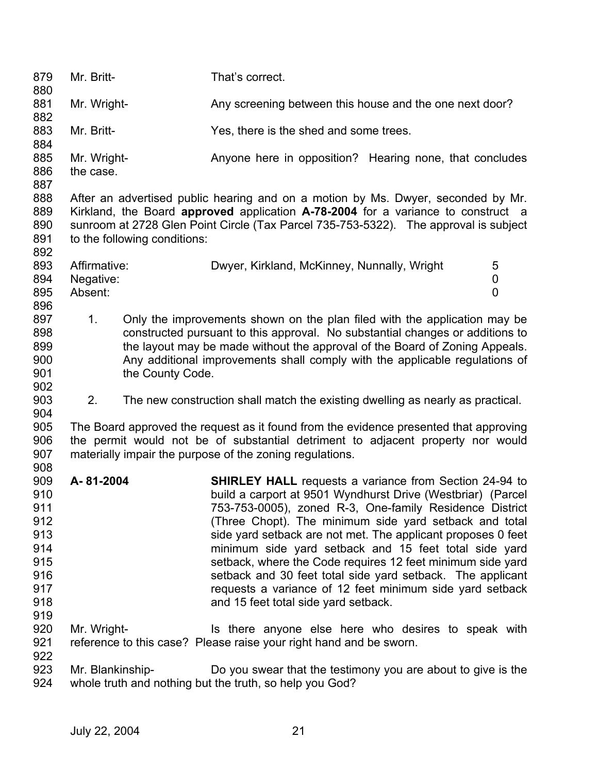| 879<br>880                                                                       | Mr. Britt-                           |                              | That's correct.                                                                                                                                                                                                                                                                                                                                                                                                                                                                                                                                                                                            |             |
|----------------------------------------------------------------------------------|--------------------------------------|------------------------------|------------------------------------------------------------------------------------------------------------------------------------------------------------------------------------------------------------------------------------------------------------------------------------------------------------------------------------------------------------------------------------------------------------------------------------------------------------------------------------------------------------------------------------------------------------------------------------------------------------|-------------|
| 881<br>882                                                                       | Mr. Wright-                          |                              | Any screening between this house and the one next door?                                                                                                                                                                                                                                                                                                                                                                                                                                                                                                                                                    |             |
| 883<br>884                                                                       | Mr. Britt-                           |                              | Yes, there is the shed and some trees.                                                                                                                                                                                                                                                                                                                                                                                                                                                                                                                                                                     |             |
| 885<br>886<br>887                                                                | Mr. Wright-<br>the case.             |                              | Anyone here in opposition? Hearing none, that concludes                                                                                                                                                                                                                                                                                                                                                                                                                                                                                                                                                    |             |
| 888<br>889<br>890<br>891<br>892                                                  |                                      | to the following conditions: | After an advertised public hearing and on a motion by Ms. Dwyer, seconded by Mr.<br>Kirkland, the Board approved application A-78-2004 for a variance to construct a<br>sunroom at 2728 Glen Point Circle (Tax Parcel 735-753-5322). The approval is subject                                                                                                                                                                                                                                                                                                                                               |             |
| 893<br>894<br>895<br>896                                                         | Affirmative:<br>Negative:<br>Absent: |                              | Dwyer, Kirkland, McKinney, Nunnally, Wright                                                                                                                                                                                                                                                                                                                                                                                                                                                                                                                                                                | 5<br>0<br>0 |
| 897<br>898<br>899<br>900<br>901<br>902                                           | 1 <sub>1</sub>                       | the County Code.             | Only the improvements shown on the plan filed with the application may be<br>constructed pursuant to this approval. No substantial changes or additions to<br>the layout may be made without the approval of the Board of Zoning Appeals.<br>Any additional improvements shall comply with the applicable regulations of                                                                                                                                                                                                                                                                                   |             |
| 903                                                                              | 2.                                   |                              | The new construction shall match the existing dwelling as nearly as practical.                                                                                                                                                                                                                                                                                                                                                                                                                                                                                                                             |             |
| 904<br>905<br>906<br>907                                                         |                                      |                              | The Board approved the request as it found from the evidence presented that approving<br>the permit would not be of substantial detriment to adjacent property nor would<br>materially impair the purpose of the zoning regulations.                                                                                                                                                                                                                                                                                                                                                                       |             |
| 908<br>909<br>910<br>911<br>912<br>913<br>914<br>915<br>916<br>917<br>918<br>919 | A-81-2004                            |                              | <b>SHIRLEY HALL</b> requests a variance from Section 24-94 to<br>build a carport at 9501 Wyndhurst Drive (Westbriar) (Parcel<br>753-753-0005), zoned R-3, One-family Residence District<br>(Three Chopt). The minimum side yard setback and total<br>side yard setback are not met. The applicant proposes 0 feet<br>minimum side yard setback and 15 feet total side yard<br>setback, where the Code requires 12 feet minimum side yard<br>setback and 30 feet total side yard setback. The applicant<br>requests a variance of 12 feet minimum side yard setback<br>and 15 feet total side yard setback. |             |
| 920<br>921<br>922                                                                | Mr. Wright-                          |                              | Is there anyone else here who desires to speak with<br>reference to this case? Please raise your right hand and be sworn.                                                                                                                                                                                                                                                                                                                                                                                                                                                                                  |             |
| 923<br>924                                                                       | Mr. Blankinship-                     |                              | Do you swear that the testimony you are about to give is the<br>whole truth and nothing but the truth, so help you God?                                                                                                                                                                                                                                                                                                                                                                                                                                                                                    |             |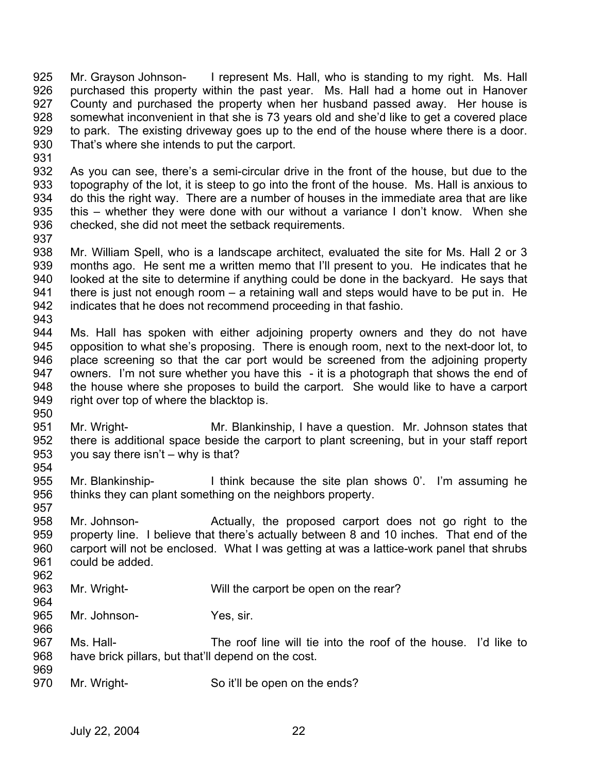925 926 927 928 929 930 931 Mr. Grayson Johnson- I represent Ms. Hall, who is standing to my right. Ms. Hall purchased this property within the past year. Ms. Hall had a home out in Hanover County and purchased the property when her husband passed away. Her house is somewhat inconvenient in that she is 73 years old and she'd like to get a covered place to park. The existing driveway goes up to the end of the house where there is a door. That's where she intends to put the carport.

932 933 934 935 936 937 As you can see, there's a semi-circular drive in the front of the house, but due to the topography of the lot, it is steep to go into the front of the house. Ms. Hall is anxious to do this the right way. There are a number of houses in the immediate area that are like this – whether they were done with our without a variance I don't know. When she checked, she did not meet the setback requirements.

938 939 940 941 942 943 Mr. William Spell, who is a landscape architect, evaluated the site for Ms. Hall 2 or 3 months ago. He sent me a written memo that I'll present to you. He indicates that he looked at the site to determine if anything could be done in the backyard. He says that there is just not enough room – a retaining wall and steps would have to be put in. He indicates that he does not recommend proceeding in that fashio.

944 945 946 947 948 949 Ms. Hall has spoken with either adjoining property owners and they do not have opposition to what she's proposing. There is enough room, next to the next-door lot, to place screening so that the car port would be screened from the adjoining property owners. I'm not sure whether you have this - it is a photograph that shows the end of the house where she proposes to build the carport. She would like to have a carport right over top of where the blacktop is.

- 951 952 953 954 Mr. Wright- Mr. Blankinship, I have a question. Mr. Johnson states that there is additional space beside the carport to plant screening, but in your staff report you say there isn't – why is that?
- 955 956 Mr. Blankinship- I think because the site plan shows 0'. I'm assuming he thinks they can plant something on the neighbors property.
- 957 958 959 960 961 Mr. Johnson- Actually, the proposed carport does not go right to the property line. I believe that there's actually between 8 and 10 inches. That end of the carport will not be enclosed. What I was getting at was a lattice-work panel that shrubs could be added.
- 963 964 Mr. Wright- Will the carport be open on the rear?
- 965 966 Mr. Johnson- Yes, sir.
- 967 968 969 Ms. Hall- The roof line will tie into the roof of the house. I'd like to have brick pillars, but that'll depend on the cost.
- 970 Mr. Wright- So it'll be open on the ends?

950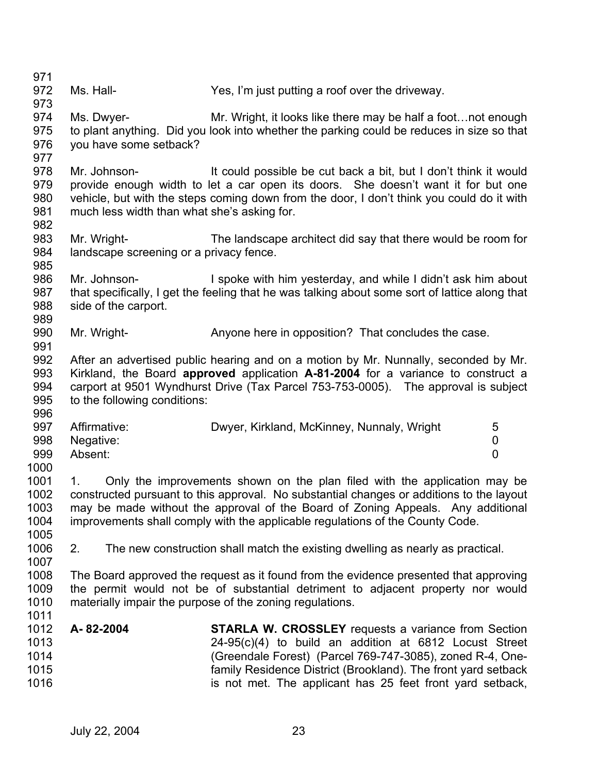| 971  |                                             |                                                                                                |
|------|---------------------------------------------|------------------------------------------------------------------------------------------------|
| 972  | Ms. Hall-                                   | Yes, I'm just putting a roof over the driveway.                                                |
| 973  |                                             |                                                                                                |
| 974  | Ms. Dwyer-                                  | Mr. Wright, it looks like there may be half a foot not enough                                  |
| 975  |                                             | to plant anything. Did you look into whether the parking could be reduces in size so that      |
| 976  | you have some setback?                      |                                                                                                |
| 977  |                                             |                                                                                                |
| 978  | Mr. Johnson-                                | It could possible be cut back a bit, but I don't think it would                                |
| 979  |                                             | provide enough width to let a car open its doors. She doesn't want it for but one              |
| 980  |                                             | vehicle, but with the steps coming down from the door, I don't think you could do it with      |
| 981  | much less width than what she's asking for. |                                                                                                |
| 982  |                                             |                                                                                                |
| 983  | Mr. Wright-                                 | The landscape architect did say that there would be room for                                   |
| 984  | landscape screening or a privacy fence.     |                                                                                                |
| 985  |                                             |                                                                                                |
| 986  | Mr. Johnson-                                | I spoke with him yesterday, and while I didn't ask him about                                   |
| 987  |                                             | that specifically, I get the feeling that he was talking about some sort of lattice along that |
| 988  | side of the carport.                        |                                                                                                |
| 989  |                                             |                                                                                                |
| 990  | Mr. Wright-                                 | Anyone here in opposition? That concludes the case.                                            |
| 991  |                                             |                                                                                                |
| 992  |                                             | After an advertised public hearing and on a motion by Mr. Nunnally, seconded by Mr.            |
| 993  |                                             | Kirkland, the Board approved application A-81-2004 for a variance to construct a               |
| 994  |                                             | carport at 9501 Wyndhurst Drive (Tax Parcel 753-753-0005). The approval is subject             |
| 995  | to the following conditions:                |                                                                                                |
| 996  |                                             |                                                                                                |
| 997  | Affirmative:                                | Dwyer, Kirkland, McKinney, Nunnaly, Wright<br>5                                                |
| 998  | Negative:                                   | 0                                                                                              |
| 999  | Absent:                                     | $\overline{0}$                                                                                 |
| 1000 |                                             |                                                                                                |
| 1001 | 1.                                          | Only the improvements shown on the plan filed with the application may be                      |
| 1002 |                                             | constructed pursuant to this approval. No substantial changes or additions to the layout       |
| 1003 |                                             | may be made without the approval of the Board of Zoning Appeals. Any additional                |
| 1004 |                                             | improvements shall comply with the applicable regulations of the County Code.                  |
| 1005 |                                             |                                                                                                |
| 1006 | 2.                                          | The new construction shall match the existing dwelling as nearly as practical.                 |
| 1007 |                                             |                                                                                                |
| 1008 |                                             | The Board approved the request as it found from the evidence presented that approving          |
| 1009 |                                             | the permit would not be of substantial detriment to adjacent property nor would                |
| 1010 |                                             | materially impair the purpose of the zoning regulations.                                       |
| 1011 |                                             |                                                                                                |
| 1012 | A-82-2004                                   | <b>STARLA W. CROSSLEY</b> requests a variance from Section                                     |
| 1013 |                                             | $24-95(c)(4)$ to build an addition at 6812 Locust Street                                       |
| 1014 |                                             | (Greendale Forest) (Parcel 769-747-3085), zoned R-4, One-                                      |
| 1015 |                                             | family Residence District (Brookland). The front yard setback                                  |
| 1016 |                                             | is not met. The applicant has 25 feet front yard setback,                                      |
|      |                                             |                                                                                                |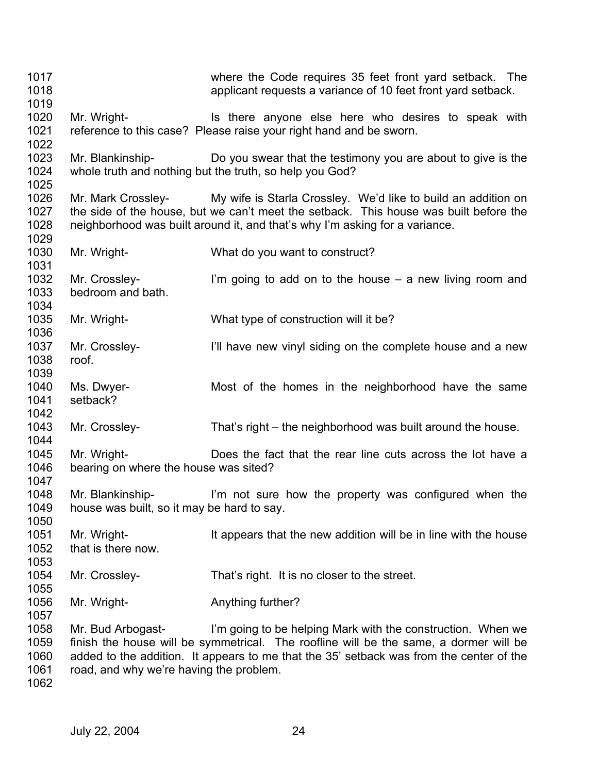1017 1018 1019 1020 1021 1022 1023 1024 1025 1026 1027 1028 1029 1030 1031 1032 1033 1034 1035 1036 1037 1038 1039 1040 1041 1042 1043 1044 1045 1046 1047 1048 1049 1050 1051 1052 1053 1054 1055 1056 1057 1058 1059 1060 1061 1062 where the Code requires 35 feet front yard setback. The applicant requests a variance of 10 feet front yard setback. Mr. Wright- **IS there anyone else here who desires to speak with** reference to this case? Please raise your right hand and be sworn. Mr. Blankinship- Do you swear that the testimony you are about to give is the whole truth and nothing but the truth, so help you God? Mr. Mark Crossley- My wife is Starla Crossley. We'd like to build an addition on the side of the house, but we can't meet the setback. This house was built before the neighborhood was built around it, and that's why I'm asking for a variance. Mr. Wright- What do you want to construct? Mr. Crossley- I'm going to add on to the house  $-$  a new living room and bedroom and bath. Mr. Wright- What type of construction will it be? Mr. Crossley- **I'll have new vinyl siding on the complete house and a new** roof. Ms. Dwyer- Most of the homes in the neighborhood have the same setback? Mr. Crossley- That's right – the neighborhood was built around the house. Mr. Wright- Does the fact that the rear line cuts across the lot have a bearing on where the house was sited? Mr. Blankinship- I'm not sure how the property was configured when the house was built, so it may be hard to say. Mr. Wright- It appears that the new addition will be in line with the house that is there now. Mr. Crossley- That's right. It is no closer to the street. Mr. Wright- **Anything further?** Mr. Bud Arbogast- I'm going to be helping Mark with the construction. When we finish the house will be symmetrical. The roofline will be the same, a dormer will be added to the addition. It appears to me that the 35' setback was from the center of the road, and why we're having the problem.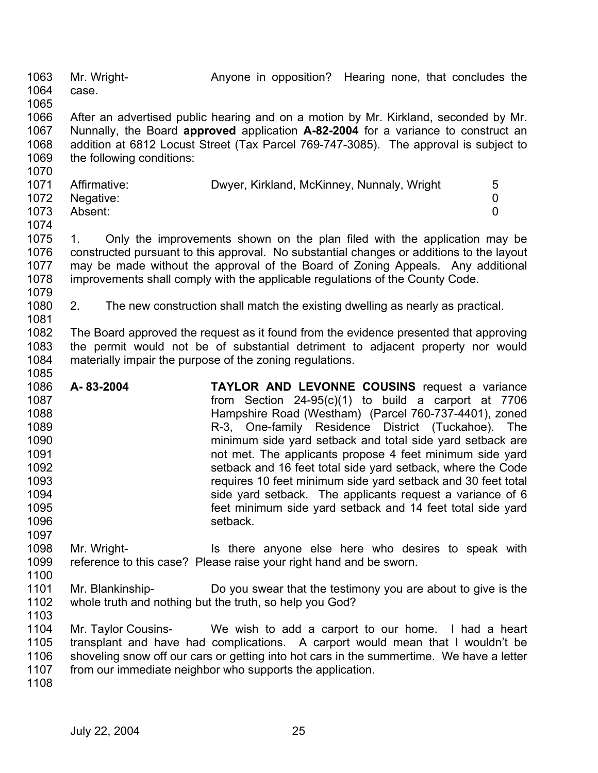1063 1064 1065 Mr. Wright- **Anyone in opposition?** Hearing none, that concludes the case.

1066 1067 1068 1069 After an advertised public hearing and on a motion by Mr. Kirkland, seconded by Mr. Nunnally, the Board **approved** application **A-82-2004** for a variance to construct an addition at 6812 Locust Street (Tax Parcel 769-747-3085). The approval is subject to the following conditions:

|      | 1071 Affirmative: | Dwyer, Kirkland, McKinney, Nunnaly, Wright | $\mathbf b$ |
|------|-------------------|--------------------------------------------|-------------|
|      |                   |                                            |             |
|      | 1072 Negative:    |                                            |             |
| 1073 | Absent:           |                                            |             |
| 1074 |                   |                                            |             |

1075 1076 1077 1078 1079 1. Only the improvements shown on the plan filed with the application may be constructed pursuant to this approval. No substantial changes or additions to the layout may be made without the approval of the Board of Zoning Appeals. Any additional improvements shall comply with the applicable regulations of the County Code.

1080 1081 2. The new construction shall match the existing dwelling as nearly as practical.

1082 1083 1084 1085 The Board approved the request as it found from the evidence presented that approving the permit would not be of substantial detriment to adjacent property nor would materially impair the purpose of the zoning regulations.

- 1086 1087 1088 1089 1090 1091 1092 1093 1094 1095 1096 1097 **A- 83-2004 TAYLOR AND LEVONNE COUSINS** request a variance from Section 24-95(c)(1) to build a carport at 7706 Hampshire Road (Westham) (Parcel 760-737-4401), zoned R-3, One-family Residence District (Tuckahoe). The minimum side yard setback and total side yard setback are not met. The applicants propose 4 feet minimum side yard setback and 16 feet total side yard setback, where the Code requires 10 feet minimum side yard setback and 30 feet total side yard setback. The applicants request a variance of 6 feet minimum side yard setback and 14 feet total side yard setback.
- 1098 1099 1100 Mr. Wright- Is there anyone else here who desires to speak with reference to this case? Please raise your right hand and be sworn.
- 1101 1102 Mr. Blankinship- Do you swear that the testimony you are about to give is the whole truth and nothing but the truth, so help you God?
- 1103

1070

1104 1105 1106 1107 Mr. Taylor Cousins- We wish to add a carport to our home. I had a heart transplant and have had complications. A carport would mean that I wouldn't be shoveling snow off our cars or getting into hot cars in the summertime. We have a letter from our immediate neighbor who supports the application.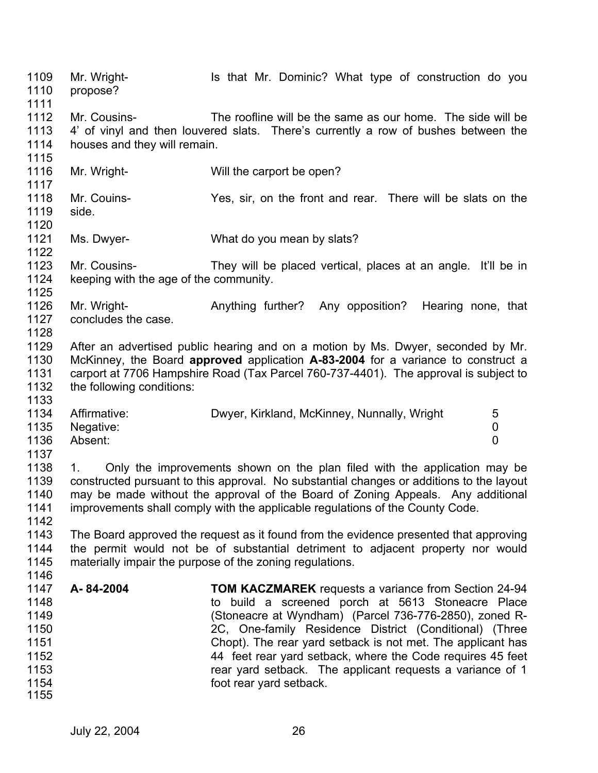1109 1110 1111 1112 1113 1114 1115 1116 1117 1118 1119 1120 1121 1122 1123 1124 1125 1126 1127 1128 1129 1130 1131 1132 1133 1134 1135 1136 1137 1138 1139 1140 1141 1142 1143 1144 1145 1146 1147 1148 1149 1150 1151 1152 1153 1154 1155 Mr. Wright- **IS that Mr. Dominic?** What type of construction do you propose? Mr. Cousins- The roofline will be the same as our home. The side will be 4' of vinyl and then louvered slats. There's currently a row of bushes between the houses and they will remain. Mr. Wright- Will the carport be open? Mr. Couins- Yes, sir, on the front and rear. There will be slats on the side. Ms. Dwyer- What do you mean by slats? Mr. Cousins- They will be placed vertical, places at an angle. It'll be in keeping with the age of the community. Mr. Wright- **Anything further?** Any opposition? Hearing none, that concludes the case. After an advertised public hearing and on a motion by Ms. Dwyer, seconded by Mr. McKinney, the Board **approved** application **A-83-2004** for a variance to construct a carport at 7706 Hampshire Road (Tax Parcel 760-737-4401). The approval is subject to the following conditions: Affirmative: Dwyer, Kirkland, McKinney, Nunnally, Wright 5 Negative: 0 Absent: 0 1. Only the improvements shown on the plan filed with the application may be constructed pursuant to this approval. No substantial changes or additions to the layout may be made without the approval of the Board of Zoning Appeals. Any additional improvements shall comply with the applicable regulations of the County Code. The Board approved the request as it found from the evidence presented that approving the permit would not be of substantial detriment to adjacent property nor would materially impair the purpose of the zoning regulations. **A- 84-2004 TOM KACZMAREK** requests a variance from Section 24-94 to build a screened porch at 5613 Stoneacre Place (Stoneacre at Wyndham) (Parcel 736-776-2850), zoned R-2C, One-family Residence District (Conditional) (Three Chopt). The rear yard setback is not met. The applicant has 44 feet rear yard setback, where the Code requires 45 feet rear yard setback. The applicant requests a variance of 1 foot rear yard setback.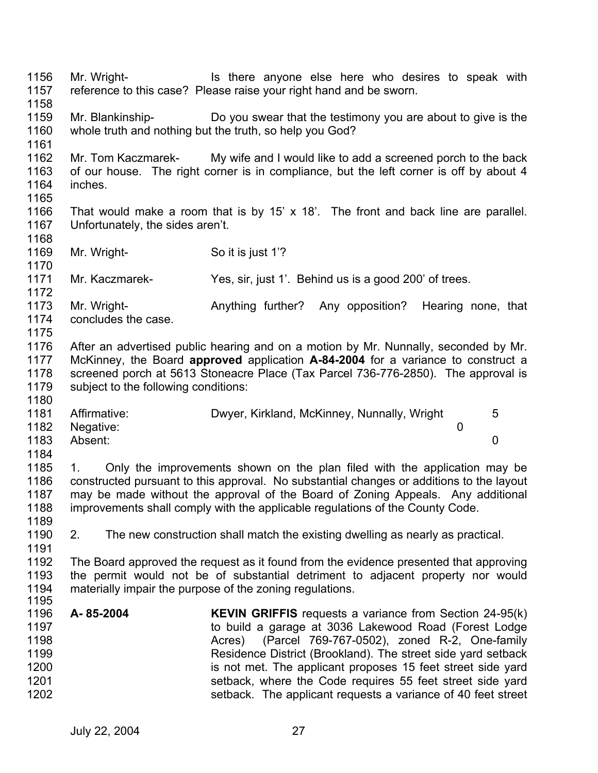1156 1157 1158 1159 1160 1161 1162 1163 1164 1165 1166 1167 1168 1169 1170 1171 1172 1173 1174 1175 1176 1177 1178 1179 1180 1181 1182 1183 1184 1185 1186 1187 1188 1189 1190 1191 1192 1193 1194 1195 1196 1197 1198 1199 1200 1201 1202 Mr. Wright- Is there anyone else here who desires to speak with reference to this case? Please raise your right hand and be sworn. Mr. Blankinship- Do you swear that the testimony you are about to give is the whole truth and nothing but the truth, so help you God? Mr. Tom Kaczmarek- My wife and I would like to add a screened porch to the back of our house. The right corner is in compliance, but the left corner is off by about 4 inches. That would make a room that is by 15' x 18'. The front and back line are parallel. Unfortunately, the sides aren't. Mr. Wright- So it is just 1<sup>'?</sup> Mr. Kaczmarek- Yes, sir, just 1'. Behind us is a good 200' of trees. Mr. Wright- **Anything further?** Any opposition? Hearing none, that concludes the case. After an advertised public hearing and on a motion by Mr. Nunnally, seconded by Mr. McKinney, the Board **approved** application **A-84-2004** for a variance to construct a screened porch at 5613 Stoneacre Place (Tax Parcel 736-776-2850). The approval is subject to the following conditions: Affirmative: Dwyer, Kirkland, McKinney, Nunnally, Wright 5 Negative: 0 Absent: 0 1. Only the improvements shown on the plan filed with the application may be constructed pursuant to this approval. No substantial changes or additions to the layout may be made without the approval of the Board of Zoning Appeals. Any additional improvements shall comply with the applicable regulations of the County Code. 2. The new construction shall match the existing dwelling as nearly as practical. The Board approved the request as it found from the evidence presented that approving the permit would not be of substantial detriment to adjacent property nor would materially impair the purpose of the zoning regulations. **A- 85-2004 KEVIN GRIFFIS** requests a variance from Section 24-95(k) to build a garage at 3036 Lakewood Road (Forest Lodge Acres) (Parcel 769-767-0502), zoned R-2, One-family Residence District (Brookland). The street side yard setback is not met. The applicant proposes 15 feet street side yard setback, where the Code requires 55 feet street side yard setback. The applicant requests a variance of 40 feet street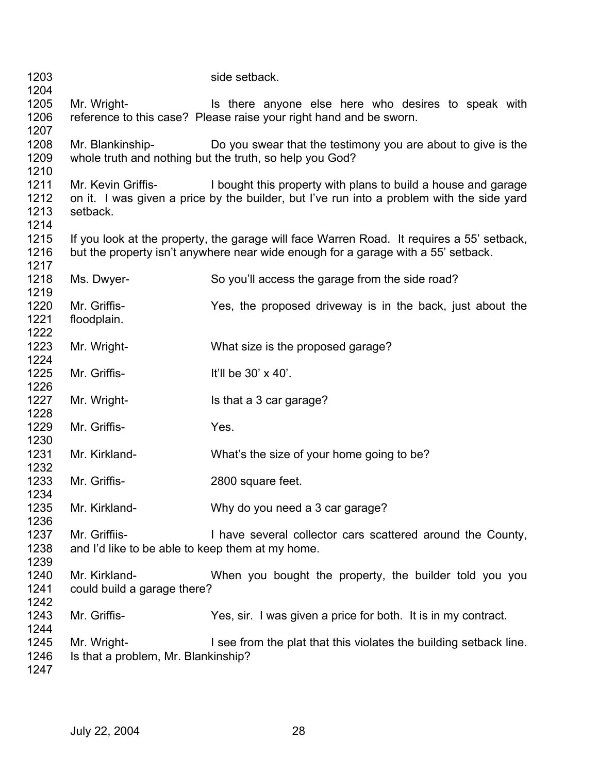| 1203                         |                                                                   | side setback.                                                                                                                                                                  |
|------------------------------|-------------------------------------------------------------------|--------------------------------------------------------------------------------------------------------------------------------------------------------------------------------|
| 1204                         |                                                                   |                                                                                                                                                                                |
| 1205<br>1206                 | Mr. Wright-                                                       | Is there anyone else here who desires to speak with<br>reference to this case? Please raise your right hand and be sworn.                                                      |
| 1207<br>1208<br>1209<br>1210 | Mr. Blankinship-                                                  | Do you swear that the testimony you are about to give is the<br>whole truth and nothing but the truth, so help you God?                                                        |
| 1211<br>1212<br>1213<br>1214 | Mr. Kevin Griffis-<br>setback.                                    | I bought this property with plans to build a house and garage<br>on it. I was given a price by the builder, but I've run into a problem with the side yard                     |
| 1215<br>1216<br>1217         |                                                                   | If you look at the property, the garage will face Warren Road. It requires a 55' setback,<br>but the property isn't anywhere near wide enough for a garage with a 55' setback. |
| 1218<br>1219                 | Ms. Dwyer-                                                        | So you'll access the garage from the side road?                                                                                                                                |
| 1220<br>1221<br>1222         | Mr. Griffis-<br>floodplain.                                       | Yes, the proposed driveway is in the back, just about the                                                                                                                      |
| 1223<br>1224                 | Mr. Wright-                                                       | What size is the proposed garage?                                                                                                                                              |
| 1225<br>1226                 | Mr. Griffis-                                                      | It'll be 30' x 40'.                                                                                                                                                            |
| 1227<br>1228                 | Mr. Wright-                                                       | Is that a 3 car garage?                                                                                                                                                        |
| 1229<br>1230                 | Mr. Griffis-                                                      | Yes.                                                                                                                                                                           |
| 1231<br>1232                 | Mr. Kirkland-                                                     | What's the size of your home going to be?                                                                                                                                      |
| 1233<br>1234                 | Mr. Griffis-                                                      | 2800 square feet.                                                                                                                                                              |
| 1235<br>1236                 | Mr. Kirkland-                                                     | Why do you need a 3 car garage?                                                                                                                                                |
| 1237<br>1238<br>1239         | Mr. Griffiis-<br>and I'd like to be able to keep them at my home. | I have several collector cars scattered around the County,                                                                                                                     |
| 1240<br>1241<br>1242         | Mr. Kirkland-<br>could build a garage there?                      | When you bought the property, the builder told you you                                                                                                                         |
| 1243<br>1244                 | Mr. Griffis-                                                      | Yes, sir. I was given a price for both. It is in my contract.                                                                                                                  |
| 1245<br>1246<br>1247         | Mr. Wright-<br>Is that a problem, Mr. Blankinship?                | I see from the plat that this violates the building setback line.                                                                                                              |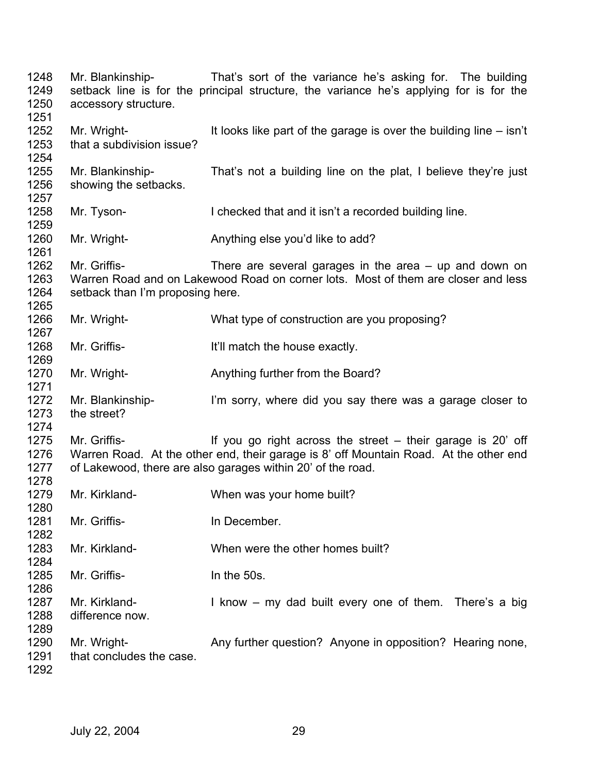| 1248<br>1249<br>1250<br>1251 | accessory structure.                             | Mr. Blankinship- That's sort of the variance he's asking for. The building<br>setback line is for the principal structure, the variance he's applying for is for the                                                 |
|------------------------------|--------------------------------------------------|----------------------------------------------------------------------------------------------------------------------------------------------------------------------------------------------------------------------|
| 1252<br>1253<br>1254         | Mr. Wright-<br>that a subdivision issue?         | It looks like part of the garage is over the building line $-$ isn't                                                                                                                                                 |
| 1255<br>1256<br>1257         | Mr. Blankinship-<br>showing the setbacks.        | That's not a building line on the plat, I believe they're just                                                                                                                                                       |
| 1258<br>1259                 | Mr. Tyson-                                       | I checked that and it isn't a recorded building line.                                                                                                                                                                |
| 1260<br>1261                 | Mr. Wright-                                      | Anything else you'd like to add?                                                                                                                                                                                     |
| 1262<br>1263<br>1264<br>1265 | Mr. Griffis-<br>setback than I'm proposing here. | There are several garages in the area $-$ up and down on<br>Warren Road and on Lakewood Road on corner lots. Most of them are closer and less                                                                        |
| 1266<br>1267                 | Mr. Wright-                                      | What type of construction are you proposing?                                                                                                                                                                         |
| 1268<br>1269                 | Mr. Griffis-                                     | It'll match the house exactly.                                                                                                                                                                                       |
| 1270<br>1271                 | Mr. Wright-                                      | Anything further from the Board?                                                                                                                                                                                     |
| 1272<br>1273<br>1274         | Mr. Blankinship-<br>the street?                  | I'm sorry, where did you say there was a garage closer to                                                                                                                                                            |
| 1275<br>1276<br>1277<br>1278 | Mr. Griffis-                                     | If you go right across the street $-$ their garage is 20 off<br>Warren Road. At the other end, their garage is 8' off Mountain Road. At the other end<br>of Lakewood, there are also garages within 20' of the road. |
| 1279<br>1280                 | Mr. Kirkland-                                    | When was your home built?                                                                                                                                                                                            |
| 1281<br>1282                 | Mr. Griffis-                                     | In December.                                                                                                                                                                                                         |
| 1283<br>1284                 | Mr. Kirkland-                                    | When were the other homes built?                                                                                                                                                                                     |
| 1285<br>1286                 | Mr. Griffis-                                     | In the 50s.                                                                                                                                                                                                          |
| 1287<br>1288<br>1289         | Mr. Kirkland-<br>difference now.                 | I know – my dad built every one of them. There's a big                                                                                                                                                               |
| 1290<br>1291<br>1292         | Mr. Wright-<br>that concludes the case.          | Any further question? Anyone in opposition? Hearing none,                                                                                                                                                            |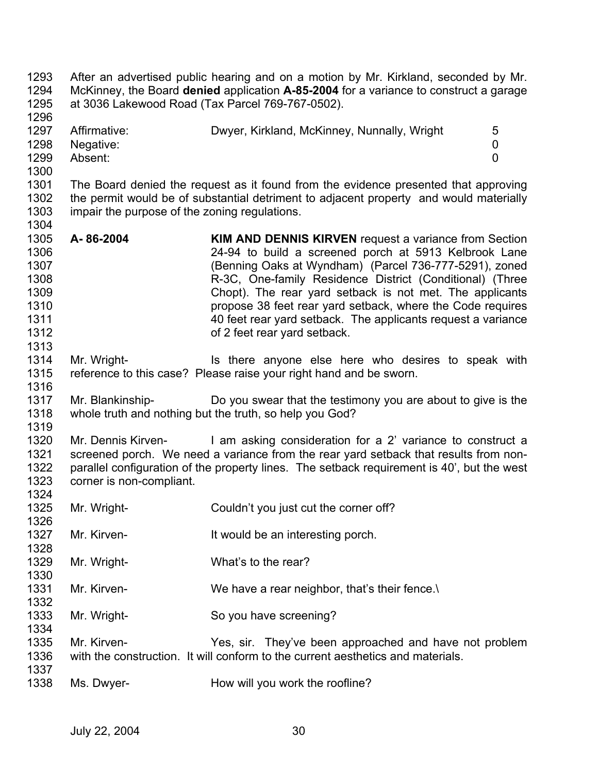1293 1294 1295 1296 1297 1298 1299 1300 1301 1302 1303 1304 1305 1306 1307 1308 1309 1310 1311 1312 1313 1314 1315 1316 1317 1318 1319 1320 1321 1322 1323 1324 1325 1326 1327 1328 1329 1330 1331 1332 1333 1334 1335 1336 1337 1338 After an advertised public hearing and on a motion by Mr. Kirkland, seconded by Mr. McKinney, the Board **denied** application **A-85-2004** for a variance to construct a garage at 3036 Lakewood Road (Tax Parcel 769-767-0502). Affirmative: Dwyer, Kirkland, McKinney, Nunnally, Wright 5 Negative: 0 Absent: 0 The Board denied the request as it found from the evidence presented that approving the permit would be of substantial detriment to adjacent property and would materially impair the purpose of the zoning regulations. **A- 86-2004 KIM AND DENNIS KIRVEN** request a variance from Section 24-94 to build a screened porch at 5913 Kelbrook Lane (Benning Oaks at Wyndham) (Parcel 736-777-5291), zoned R-3C, One-family Residence District (Conditional) (Three Chopt). The rear yard setback is not met. The applicants propose 38 feet rear yard setback, where the Code requires 40 feet rear yard setback. The applicants request a variance of 2 feet rear yard setback. Mr. Wright- **IS there anyone else here who desires to speak with** reference to this case? Please raise your right hand and be sworn. Mr. Blankinship- Do you swear that the testimony you are about to give is the whole truth and nothing but the truth, so help you God? Mr. Dennis Kirven- I am asking consideration for a 2' variance to construct a screened porch. We need a variance from the rear yard setback that results from nonparallel configuration of the property lines. The setback requirement is 40', but the west corner is non-compliant. Mr. Wright- Couldn't you just cut the corner off? Mr. Kirven- **It would be an interesting porch.** Mr. Wright- What's to the rear? Mr. Kirven- We have a rear neighbor, that's their fence. Mr. Wright- So you have screening? Mr. Kirven- Yes, sir. They've been approached and have not problem with the construction. It will conform to the current aesthetics and materials. Ms. Dwyer- **How will you work the roofline?**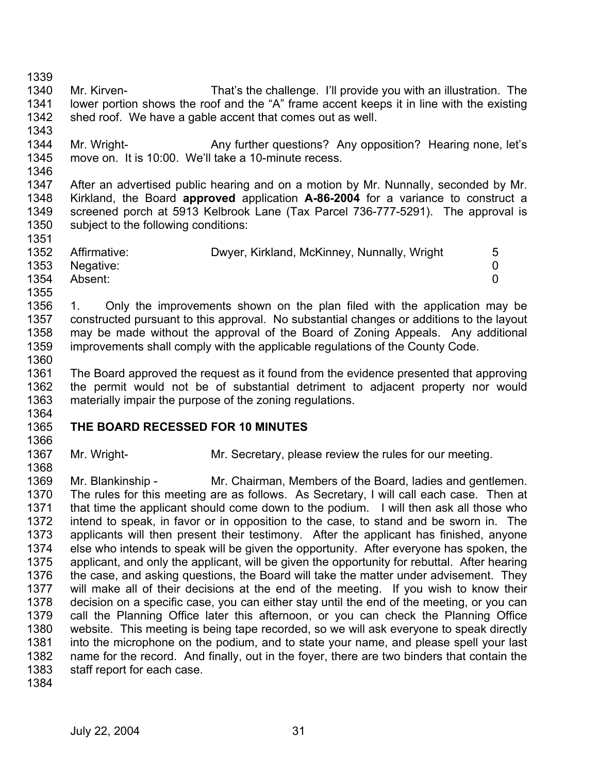1339 1340 1341 1342 1343 1344 1345 1346 1347 1348 1349 1350 1351 1352 1353 1354 1355 1356 1357 1358 1359 1360 1361 1362 1363 1364 1365 1366 1367 1368 1369 1370 1371 1372 1373 1374 1375 1376 1377 1378 1379 1380 1381 1382 1383 1384 Mr. Kirven- That's the challenge. I'll provide you with an illustration. The lower portion shows the roof and the "A" frame accent keeps it in line with the existing shed roof. We have a gable accent that comes out as well. Mr. Wright- **Any further questions?** Any opposition? Hearing none, let's move on. It is 10:00. We'll take a 10-minute recess. After an advertised public hearing and on a motion by Mr. Nunnally, seconded by Mr. Kirkland, the Board **approved** application **A-86-2004** for a variance to construct a screened porch at 5913 Kelbrook Lane (Tax Parcel 736-777-5291). The approval is subject to the following conditions: Affirmative: Dwyer, Kirkland, McKinney, Nunnally, Wright 5 Negative: 0 Absent: 0 1. Only the improvements shown on the plan filed with the application may be constructed pursuant to this approval. No substantial changes or additions to the layout may be made without the approval of the Board of Zoning Appeals. Any additional improvements shall comply with the applicable regulations of the County Code. The Board approved the request as it found from the evidence presented that approving the permit would not be of substantial detriment to adjacent property nor would materially impair the purpose of the zoning regulations. **THE BOARD RECESSED FOR 10 MINUTES**  Mr. Wright- Mr. Secretary, please review the rules for our meeting. Mr. Blankinship - Mr. Chairman, Members of the Board, ladies and gentlemen. The rules for this meeting are as follows. As Secretary, I will call each case. Then at that time the applicant should come down to the podium. I will then ask all those who intend to speak, in favor or in opposition to the case, to stand and be sworn in. The applicants will then present their testimony. After the applicant has finished, anyone else who intends to speak will be given the opportunity. After everyone has spoken, the applicant, and only the applicant, will be given the opportunity for rebuttal. After hearing the case, and asking questions, the Board will take the matter under advisement. They will make all of their decisions at the end of the meeting. If you wish to know their decision on a specific case, you can either stay until the end of the meeting, or you can call the Planning Office later this afternoon, or you can check the Planning Office website. This meeting is being tape recorded, so we will ask everyone to speak directly into the microphone on the podium, and to state your name, and please spell your last name for the record. And finally, out in the foyer, there are two binders that contain the staff report for each case.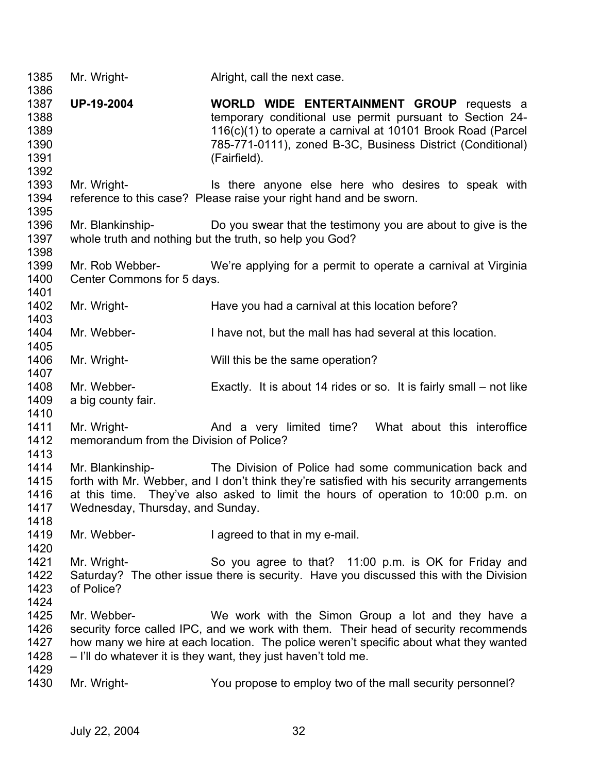| 1385<br>1386                                 | Mr. Wright-                                            | Alright, call the next case.                                                                                                                                                                                                                                                                         |
|----------------------------------------------|--------------------------------------------------------|------------------------------------------------------------------------------------------------------------------------------------------------------------------------------------------------------------------------------------------------------------------------------------------------------|
| 1387<br>1388<br>1389<br>1390<br>1391<br>1392 | <b>UP-19-2004</b>                                      | <b>WORLD WIDE ENTERTAINMENT GROUP requests a</b><br>temporary conditional use permit pursuant to Section 24-<br>116(c)(1) to operate a carnival at 10101 Brook Road (Parcel<br>785-771-0111), zoned B-3C, Business District (Conditional)<br>(Fairfield).                                            |
| 1393<br>1394<br>1395                         | Mr. Wright-                                            | Is there anyone else here who desires to speak with<br>reference to this case? Please raise your right hand and be sworn.                                                                                                                                                                            |
| 1396<br>1397<br>1398                         | Mr. Blankinship-                                       | Do you swear that the testimony you are about to give is the<br>whole truth and nothing but the truth, so help you God?                                                                                                                                                                              |
| 1399<br>1400<br>1401                         | Mr. Rob Webber-<br>Center Commons for 5 days.          | We're applying for a permit to operate a carnival at Virginia                                                                                                                                                                                                                                        |
| 1402<br>1403                                 | Mr. Wright-                                            | Have you had a carnival at this location before?                                                                                                                                                                                                                                                     |
| 1404<br>1405                                 | Mr. Webber-                                            | I have not, but the mall has had several at this location.                                                                                                                                                                                                                                           |
| 1406<br>1407                                 | Mr. Wright-                                            | Will this be the same operation?                                                                                                                                                                                                                                                                     |
| 1408<br>1409<br>1410                         | Mr. Webber-<br>a big county fair.                      | Exactly. It is about 14 rides or so. It is fairly small – not like                                                                                                                                                                                                                                   |
| 1411<br>1412<br>1413                         | Mr. Wright-<br>memorandum from the Division of Police? | And a very limited time? What about this interoffice                                                                                                                                                                                                                                                 |
| 1414<br>1415<br>1416<br>1417<br>1418         | Wednesday, Thursday, and Sunday.                       | Mr. Blankinship- The Division of Police had some communication back and<br>forth with Mr. Webber, and I don't think they're satisfied with his security arrangements<br>at this time. They've also asked to limit the hours of operation to 10:00 p.m. on                                            |
| 1419<br>1420                                 | Mr. Webber-                                            | I agreed to that in my e-mail.                                                                                                                                                                                                                                                                       |
| 1421<br>1422<br>1423<br>1424                 | Mr. Wright-<br>of Police?                              | So you agree to that? 11:00 p.m. is OK for Friday and<br>Saturday? The other issue there is security. Have you discussed this with the Division                                                                                                                                                      |
| 1425<br>1426<br>1427<br>1428                 | Mr. Webber-                                            | We work with the Simon Group a lot and they have a<br>security force called IPC, and we work with them. Their head of security recommends<br>how many we hire at each location. The police weren't specific about what they wanted<br>- I'll do whatever it is they want, they just haven't told me. |
| 1429<br>1430                                 | Mr. Wright-                                            | You propose to employ two of the mall security personnel?                                                                                                                                                                                                                                            |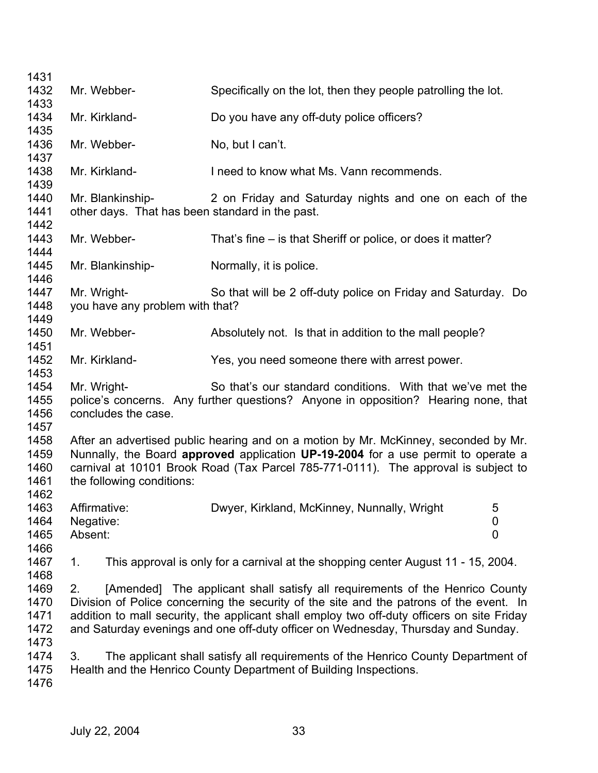| 1431                                 |                                                                     |                                                                                                                                                                                                                                                                                                                                                            |  |
|--------------------------------------|---------------------------------------------------------------------|------------------------------------------------------------------------------------------------------------------------------------------------------------------------------------------------------------------------------------------------------------------------------------------------------------------------------------------------------------|--|
| 1432                                 | Mr. Webber-                                                         | Specifically on the lot, then they people patrolling the lot.                                                                                                                                                                                                                                                                                              |  |
| 1433<br>1434<br>1435                 | Mr. Kirkland-                                                       | Do you have any off-duty police officers?                                                                                                                                                                                                                                                                                                                  |  |
| 1436<br>1437                         | Mr. Webber-                                                         | No, but I can't.                                                                                                                                                                                                                                                                                                                                           |  |
| 1438<br>1439                         | Mr. Kirkland-                                                       | I need to know what Ms. Vann recommends.                                                                                                                                                                                                                                                                                                                   |  |
| 1440<br>1441<br>1442                 | Mr. Blankinship-<br>other days. That has been standard in the past. | 2 on Friday and Saturday nights and one on each of the                                                                                                                                                                                                                                                                                                     |  |
| 1443<br>1444                         | Mr. Webber-                                                         | That's fine – is that Sheriff or police, or does it matter?                                                                                                                                                                                                                                                                                                |  |
| 1445<br>1446                         | Mr. Blankinship-                                                    | Normally, it is police.                                                                                                                                                                                                                                                                                                                                    |  |
| 1447<br>1448<br>1449                 | Mr. Wright-<br>you have any problem with that?                      | So that will be 2 off-duty police on Friday and Saturday. Do                                                                                                                                                                                                                                                                                               |  |
| 1450<br>1451                         | Mr. Webber-                                                         | Absolutely not. Is that in addition to the mall people?                                                                                                                                                                                                                                                                                                    |  |
| 1452<br>1453                         | Mr. Kirkland-                                                       | Yes, you need someone there with arrest power.                                                                                                                                                                                                                                                                                                             |  |
| 1454<br>1455<br>1456<br>1457         | Mr. Wright-<br>concludes the case.                                  | So that's our standard conditions. With that we've met the<br>police's concerns. Any further questions? Anyone in opposition? Hearing none, that                                                                                                                                                                                                           |  |
| 1458<br>1459<br>1460<br>1461<br>1462 | the following conditions:                                           | After an advertised public hearing and on a motion by Mr. McKinney, seconded by Mr.<br>Nunnally, the Board approved application UP-19-2004 for a use permit to operate a<br>carnival at 10101 Brook Road (Tax Parcel 785-771-0111). The approval is subject to                                                                                             |  |
| 1463<br>1464<br>1465<br>1466         | Affirmative:<br>Negative:<br>Absent:                                | Dwyer, Kirkland, McKinney, Nunnally, Wright<br>5<br>0<br>$\mathbf 0$                                                                                                                                                                                                                                                                                       |  |
| 1467<br>1468                         | 1.                                                                  | This approval is only for a carnival at the shopping center August 11 - 15, 2004.                                                                                                                                                                                                                                                                          |  |
| 1469<br>1470<br>1471<br>1472         | 2.                                                                  | [Amended] The applicant shall satisfy all requirements of the Henrico County<br>Division of Police concerning the security of the site and the patrons of the event. In<br>addition to mall security, the applicant shall employ two off-duty officers on site Friday<br>and Saturday evenings and one off-duty officer on Wednesday, Thursday and Sunday. |  |
| 1473<br>1474<br>1475<br>1476         | 3.                                                                  | The applicant shall satisfy all requirements of the Henrico County Department of<br>Health and the Henrico County Department of Building Inspections.                                                                                                                                                                                                      |  |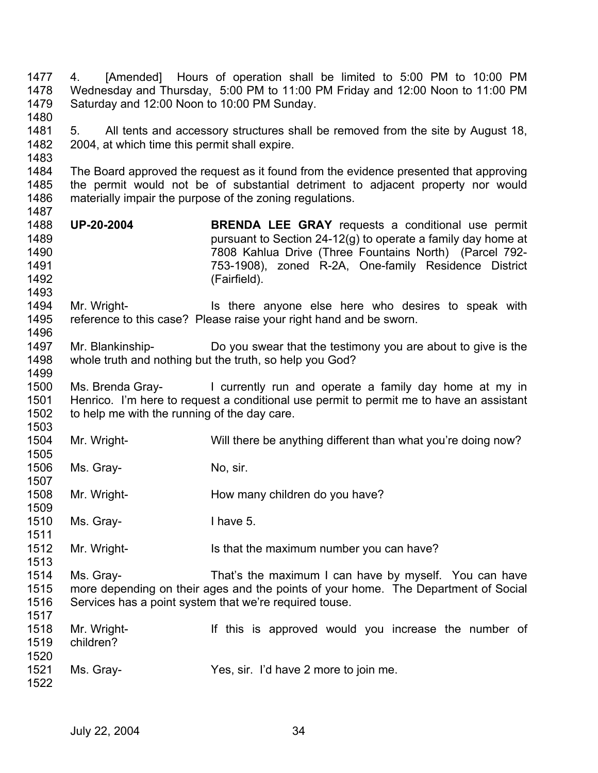1477 1478 1479 1480 1481 1482 1483 1484 1485 1486 1487 1488 1489 1490 1491 1492 1493 1494 1495 1496 1497 1498 1499 1500 1501 1502 1503 1504 1505 1506 1507 1508 1509 1510 1511 1512 1513 1514 1515 1516 1517 1518 1519 1520 1521 1522 4. [Amended] Hours of operation shall be limited to 5:00 PM to 10:00 PM Wednesday and Thursday, 5:00 PM to 11:00 PM Friday and 12:00 Noon to 11:00 PM Saturday and 12:00 Noon to 10:00 PM Sunday. 5. All tents and accessory structures shall be removed from the site by August 18, 2004, at which time this permit shall expire. The Board approved the request as it found from the evidence presented that approving the permit would not be of substantial detriment to adjacent property nor would materially impair the purpose of the zoning regulations. **UP-20-2004 BRENDA LEE GRAY** requests a conditional use permit pursuant to Section 24-12(g) to operate a family day home at 7808 Kahlua Drive (Three Fountains North) (Parcel 792- 753-1908), zoned R-2A, One-family Residence District (Fairfield). Mr. Wright- Is there anyone else here who desires to speak with reference to this case? Please raise your right hand and be sworn. Mr. Blankinship- Do you swear that the testimony you are about to give is the whole truth and nothing but the truth, so help you God? Ms. Brenda Gray- I currently run and operate a family day home at my in Henrico. I'm here to request a conditional use permit to permit me to have an assistant to help me with the running of the day care. Mr. Wright- Will there be anything different than what you're doing now? Ms. Gray- No, sir. Mr. Wright- **How many children do you have?** Ms. Gray-<br>
I have 5. Mr. Wright- Is that the maximum number you can have? Ms. Gray- That's the maximum I can have by myself. You can have more depending on their ages and the points of your home. The Department of Social Services has a point system that we're required touse. Mr. Wright- If this is approved would you increase the number of children? Ms. Gray- Yes, sir. I'd have 2 more to join me.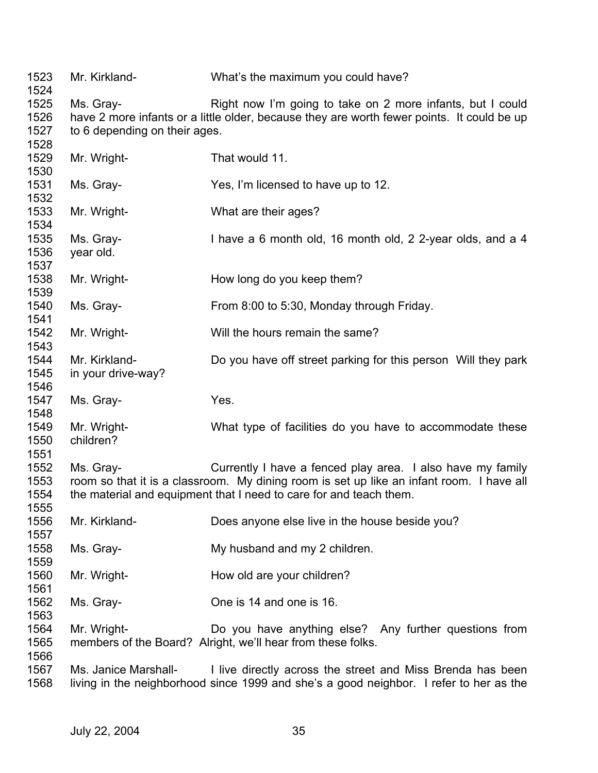| 1523<br>1524                 | Mr. Kirkland-                              | What's the maximum you could have?                                                                                                                                                                                           |
|------------------------------|--------------------------------------------|------------------------------------------------------------------------------------------------------------------------------------------------------------------------------------------------------------------------------|
| 1525<br>1526<br>1527<br>1528 | Ms. Gray-<br>to 6 depending on their ages. | Right now I'm going to take on 2 more infants, but I could<br>have 2 more infants or a little older, because they are worth fewer points. It could be up                                                                     |
| 1529<br>1530                 | Mr. Wright-                                | That would 11.                                                                                                                                                                                                               |
| 1531<br>1532                 | Ms. Gray-                                  | Yes, I'm licensed to have up to 12.                                                                                                                                                                                          |
| 1533<br>1534                 | Mr. Wright-                                | What are their ages?                                                                                                                                                                                                         |
| 1535<br>1536<br>1537         | Ms. Gray-<br>year old.                     | I have a 6 month old, 16 month old, 2 2-year olds, and a 4                                                                                                                                                                   |
| 1538<br>1539                 | Mr. Wright-                                | How long do you keep them?                                                                                                                                                                                                   |
| 1540<br>1541                 | Ms. Gray-                                  | From 8:00 to 5:30, Monday through Friday.                                                                                                                                                                                    |
| 1542<br>1543                 | Mr. Wright-                                | Will the hours remain the same?                                                                                                                                                                                              |
| 1544<br>1545<br>1546         | Mr. Kirkland-<br>in your drive-way?        | Do you have off street parking for this person Will they park                                                                                                                                                                |
| 1547<br>1548                 | Ms. Gray-                                  | Yes.                                                                                                                                                                                                                         |
| 1549<br>1550<br>1551         | Mr. Wright-<br>children?                   | What type of facilities do you have to accommodate these                                                                                                                                                                     |
| 1552<br>1553<br>1554<br>1555 | Ms. Gray-                                  | Currently I have a fenced play area. I also have my family<br>room so that it is a classroom. My dining room is set up like an infant room. I have all<br>the material and equipment that I need to care for and teach them. |
| 1556<br>1557                 | Mr. Kirkland-                              | Does anyone else live in the house beside you?                                                                                                                                                                               |
| 1558<br>1559                 | Ms. Gray-                                  | My husband and my 2 children.                                                                                                                                                                                                |
| 1560<br>1561                 | Mr. Wright-                                | How old are your children?                                                                                                                                                                                                   |
| 1562<br>1563                 | Ms. Gray-                                  | One is 14 and one is 16.                                                                                                                                                                                                     |
| 1564<br>1565<br>1566         | Mr. Wright-                                | Do you have anything else? Any further questions from<br>members of the Board? Alright, we'll hear from these folks.                                                                                                         |
| 1567<br>1568                 | Ms. Janice Marshall-                       | I live directly across the street and Miss Brenda has been<br>living in the neighborhood since 1999 and she's a good neighbor. I refer to her as the                                                                         |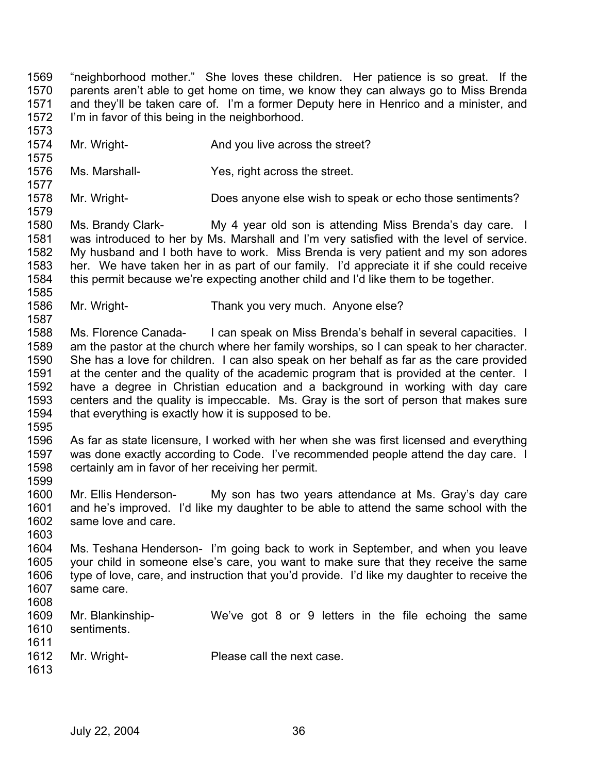1569 1570 1571 1572 1573 "neighborhood mother." She loves these children. Her patience is so great. If the parents aren't able to get home on time, we know they can always go to Miss Brenda and they'll be taken care of. I'm a former Deputy here in Henrico and a minister, and I'm in favor of this being in the neighborhood.

- 1574 1575 Mr. Wright- **And you live across the street?**
- 1576 Ms. Marshall- Yes, right across the street.

1578 Mr. Wright- Does anyone else wish to speak or echo those sentiments?

1580 1581 1582 1583 1584 1585 Ms. Brandy Clark- My 4 year old son is attending Miss Brenda's day care. I was introduced to her by Ms. Marshall and I'm very satisfied with the level of service. My husband and I both have to work. Miss Brenda is very patient and my son adores her. We have taken her in as part of our family. I'd appreciate it if she could receive this permit because we're expecting another child and I'd like them to be together.

1586 Mr. Wright- Thank you very much. Anyone else?

1588 1589 1590 1591 1592 1593 1594 Ms. Florence Canada- I can speak on Miss Brenda's behalf in several capacities. I am the pastor at the church where her family worships, so I can speak to her character. She has a love for children. I can also speak on her behalf as far as the care provided at the center and the quality of the academic program that is provided at the center. I have a degree in Christian education and a background in working with day care centers and the quality is impeccable. Ms. Gray is the sort of person that makes sure that everything is exactly how it is supposed to be.

1595

1577

1579

1587

1596 1597 1598 As far as state licensure, I worked with her when she was first licensed and everything was done exactly according to Code. I've recommended people attend the day care. I certainly am in favor of her receiving her permit.

1600 1601 1602 Mr. Ellis Henderson- My son has two years attendance at Ms. Gray's day care and he's improved. I'd like my daughter to be able to attend the same school with the same love and care.

1603

1599

1604 1605 1606 1607 1608 Ms. Teshana Henderson- I'm going back to work in September, and when you leave your child in someone else's care, you want to make sure that they receive the same type of love, care, and instruction that you'd provide. I'd like my daughter to receive the same care.

1609 1610 1611 1612 1613 Mr. Blankinship- We've got 8 or 9 letters in the file echoing the same sentiments. Mr. Wright- Please call the next case.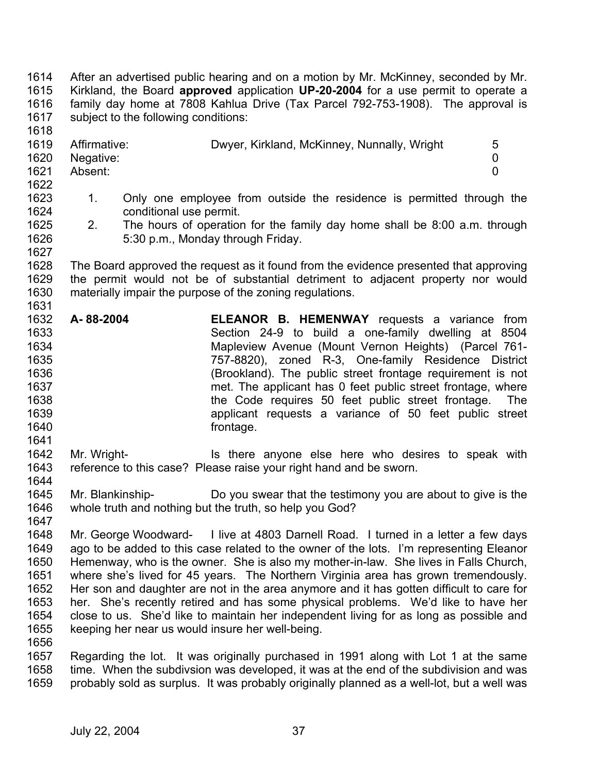1614 1615 1616 1617 1618 1619 1620 1621 1622 1623 1624 1625 1626 1627 1628 1629 1630 1631 1632 1633 1634 1635 1636 1637 1638 1639 1640 1641 1642 1643 1644 1645 1646 1647 1648 1649 1650 1651 1652 1653 1654 1655 1656 1657 After an advertised public hearing and on a motion by Mr. McKinney, seconded by Mr. Kirkland, the Board **approved** application **UP-20-2004** for a use permit to operate a family day home at 7808 Kahlua Drive (Tax Parcel 792-753-1908). The approval is subject to the following conditions: Affirmative: Dwyer, Kirkland, McKinney, Nunnally, Wright 5 Negative: 0 Absent: 0 1. Only one employee from outside the residence is permitted through the conditional use permit. 2. The hours of operation for the family day home shall be 8:00 a.m. through 5:30 p.m., Monday through Friday. The Board approved the request as it found from the evidence presented that approving the permit would not be of substantial detriment to adjacent property nor would materially impair the purpose of the zoning regulations. **A- 88-2004 ELEANOR B. HEMENWAY** requests a variance from Section 24-9 to build a one-family dwelling at 8504 Mapleview Avenue (Mount Vernon Heights) (Parcel 761- 757-8820), zoned R-3, One-family Residence District (Brookland). The public street frontage requirement is not met. The applicant has 0 feet public street frontage, where the Code requires 50 feet public street frontage. The applicant requests a variance of 50 feet public street frontage. Mr. Wright- Is there anyone else here who desires to speak with reference to this case? Please raise your right hand and be sworn. Mr. Blankinship- Do you swear that the testimony you are about to give is the whole truth and nothing but the truth, so help you God? Mr. George Woodward- I live at 4803 Darnell Road. I turned in a letter a few days ago to be added to this case related to the owner of the lots. I'm representing Eleanor Hemenway, who is the owner. She is also my mother-in-law. She lives in Falls Church, where she's lived for 45 years. The Northern Virginia area has grown tremendously. Her son and daughter are not in the area anymore and it has gotten difficult to care for her. She's recently retired and has some physical problems. We'd like to have her close to us. She'd like to maintain her independent living for as long as possible and keeping her near us would insure her well-being. Regarding the lot. It was originally purchased in 1991 along with Lot 1 at the same

1658 1659 time. When the subdivsion was developed, it was at the end of the subdivision and was probably sold as surplus. It was probably originally planned as a well-lot, but a well was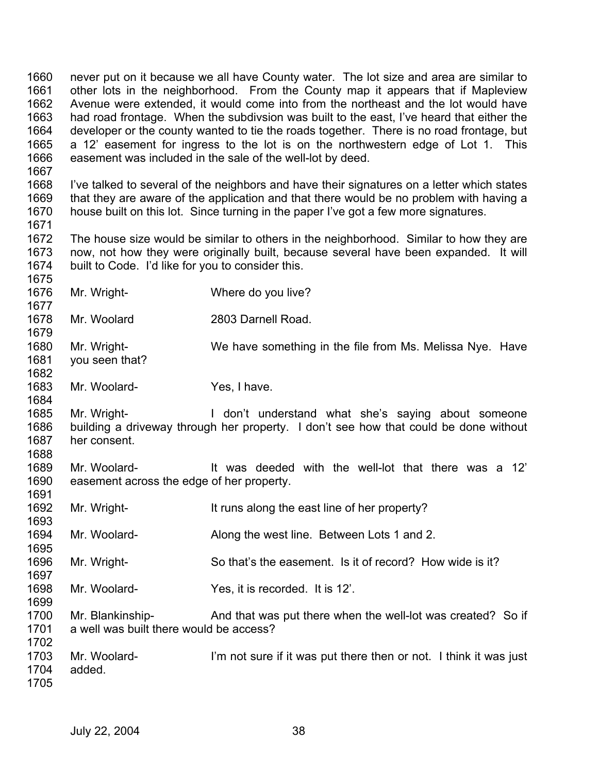1660 1661 1662 1663 1664 1665 1666 1667 1668 1669 1670 1671 1672 1673 1674 1675 1676 1677 1678 1679 1680 1681 1682 1683 1684 1685 1686 1687 1688 1689 1690 1691 1692 1693 1694 1695 1696 1697 1698 1699 never put on it because we all have County water. The lot size and area are similar to other lots in the neighborhood. From the County map it appears that if Mapleview Avenue were extended, it would come into from the northeast and the lot would have had road frontage. When the subdivsion was built to the east, I've heard that either the developer or the county wanted to tie the roads together. There is no road frontage, but a 12' easement for ingress to the lot is on the northwestern edge of Lot 1. This easement was included in the sale of the well-lot by deed. I've talked to several of the neighbors and have their signatures on a letter which states that they are aware of the application and that there would be no problem with having a house built on this lot. Since turning in the paper I've got a few more signatures. The house size would be similar to others in the neighborhood. Similar to how they are now, not how they were originally built, because several have been expanded. It will built to Code. I'd like for you to consider this. Mr. Wright- Where do you live? Mr. Woolard 2803 Darnell Road. Mr. Wright- We have something in the file from Ms. Melissa Nye. Have you seen that? Mr. Woolard- Yes, I have. Mr. Wright- **I** don't understand what she's saying about someone building a driveway through her property. I don't see how that could be done without her consent. Mr. Woolard- The Music deeded with the well-lot that there was a 12' easement across the edge of her property. Mr. Wright- It runs along the east line of her property? Mr. Woolard- Along the west line. Between Lots 1 and 2. Mr. Wright- So that's the easement. Is it of record? How wide is it? Mr. Woolard- Yes, it is recorded. It is 12'.

- 1700 1701 1702 Mr. Blankinship- And that was put there when the well-lot was created? So if a well was built there would be access?
- 1703 1704 1705 Mr. Woolard- I'm not sure if it was put there then or not. I think it was just added.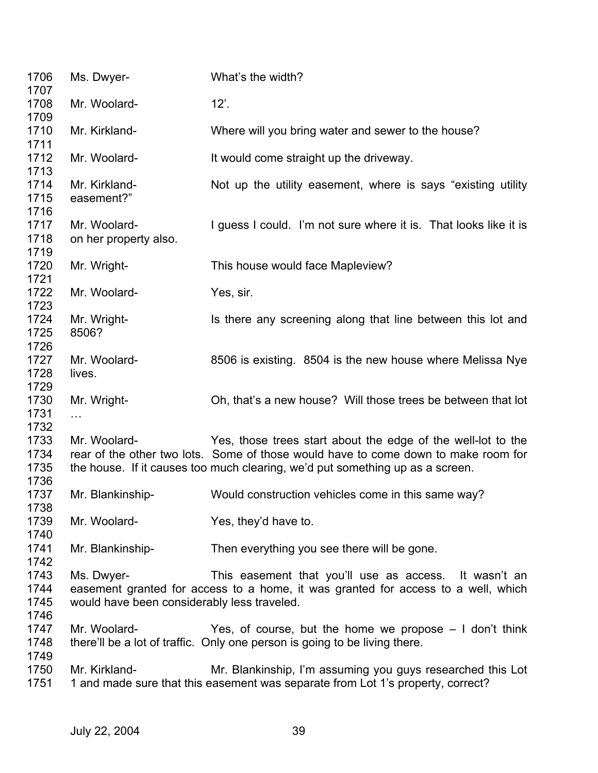| 1706<br>1707                 | Ms. Dwyer-                                                | What's the width?                                                                                                                                                                                                                   |
|------------------------------|-----------------------------------------------------------|-------------------------------------------------------------------------------------------------------------------------------------------------------------------------------------------------------------------------------------|
| 1708<br>1709                 | Mr. Woolard-                                              | $12$ .                                                                                                                                                                                                                              |
| 1710<br>1711                 | Mr. Kirkland-                                             | Where will you bring water and sewer to the house?                                                                                                                                                                                  |
| 1712<br>1713                 | Mr. Woolard-                                              | It would come straight up the driveway.                                                                                                                                                                                             |
| 1714<br>1715<br>1716         | Mr. Kirkland-<br>easement?"                               | Not up the utility easement, where is says "existing utility"                                                                                                                                                                       |
| 1717<br>1718<br>1719         | Mr. Woolard-<br>on her property also.                     | I guess I could. I'm not sure where it is. That looks like it is                                                                                                                                                                    |
| 1720<br>1721                 | Mr. Wright-                                               | This house would face Mapleview?                                                                                                                                                                                                    |
| 1722<br>1723                 | Mr. Woolard-                                              | Yes, sir.                                                                                                                                                                                                                           |
| 1724<br>1725<br>1726         | Mr. Wright-<br>8506?                                      | Is there any screening along that line between this lot and                                                                                                                                                                         |
| 1727<br>1728<br>1729         | Mr. Woolard-<br>lives.                                    | 8506 is existing. 8504 is the new house where Melissa Nye                                                                                                                                                                           |
| 1730<br>1731<br>1732         | Mr. Wright-<br>.                                          | Oh, that's a new house? Will those trees be between that lot                                                                                                                                                                        |
| 1733<br>1734<br>1735<br>1736 | Mr. Woolard-                                              | Yes, those trees start about the edge of the well-lot to the<br>rear of the other two lots. Some of those would have to come down to make room for<br>the house. If it causes too much clearing, we'd put something up as a screen. |
| 1737<br>1738                 | Mr. Blankinship-                                          | Would construction vehicles come in this same way?                                                                                                                                                                                  |
| 1739<br>1740                 | Mr. Woolard-                                              | Yes, they'd have to.                                                                                                                                                                                                                |
| 1741<br>1742                 | Mr. Blankinship-                                          | Then everything you see there will be gone.                                                                                                                                                                                         |
| 1743<br>1744<br>1745<br>1746 | Ms. Dwyer-<br>would have been considerably less traveled. | This easement that you'll use as access. It wasn't an<br>easement granted for access to a home, it was granted for access to a well, which                                                                                          |
| 1747<br>1748<br>1749         | Mr. Woolard-                                              | Yes, of course, but the home we propose $-1$ don't think<br>there'll be a lot of traffic. Only one person is going to be living there.                                                                                              |
| 1750<br>1751                 | Mr. Kirkland-                                             | Mr. Blankinship, I'm assuming you guys researched this Lot<br>1 and made sure that this easement was separate from Lot 1's property, correct?                                                                                       |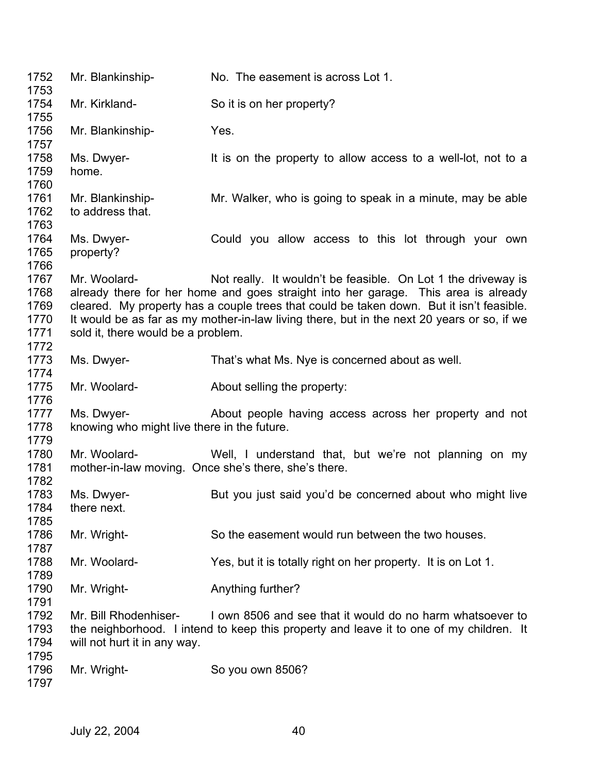| 1752<br>1753                                 | Mr. Blankinship-                                          | No. The easement is across Lot 1.                                                                                                                                                                                                                                                                                                             |
|----------------------------------------------|-----------------------------------------------------------|-----------------------------------------------------------------------------------------------------------------------------------------------------------------------------------------------------------------------------------------------------------------------------------------------------------------------------------------------|
| 1754<br>1755                                 | Mr. Kirkland-                                             | So it is on her property?                                                                                                                                                                                                                                                                                                                     |
| 1756<br>1757                                 | Mr. Blankinship-                                          | Yes.                                                                                                                                                                                                                                                                                                                                          |
| 1758<br>1759<br>1760                         | Ms. Dwyer-<br>home.                                       | It is on the property to allow access to a well-lot, not to a                                                                                                                                                                                                                                                                                 |
| 1761<br>1762<br>1763                         | Mr. Blankinship-<br>to address that.                      | Mr. Walker, who is going to speak in a minute, may be able                                                                                                                                                                                                                                                                                    |
| 1764<br>1765<br>1766                         | Ms. Dwyer-<br>property?                                   | Could you allow access to this lot through your own                                                                                                                                                                                                                                                                                           |
| 1767<br>1768<br>1769<br>1770<br>1771<br>1772 | Mr. Woolard-<br>sold it, there would be a problem.        | Not really. It wouldn't be feasible. On Lot 1 the driveway is<br>already there for her home and goes straight into her garage. This area is already<br>cleared. My property has a couple trees that could be taken down. But it isn't feasible.<br>It would be as far as my mother-in-law living there, but in the next 20 years or so, if we |
| 1773<br>1774                                 | Ms. Dwyer-                                                | That's what Ms. Nye is concerned about as well.                                                                                                                                                                                                                                                                                               |
| 1775<br>1776                                 | Mr. Woolard-                                              | About selling the property:                                                                                                                                                                                                                                                                                                                   |
| 1777<br>1778<br>1779                         | Ms. Dwyer-<br>knowing who might live there in the future. | About people having access across her property and not                                                                                                                                                                                                                                                                                        |
| 1780<br>1781<br>1782                         | Mr. Woolard-                                              | Well, I understand that, but we're not planning on my<br>mother-in-law moving. Once she's there, she's there.                                                                                                                                                                                                                                 |
| 1783<br>1784                                 | Ms. Dwyer-<br>there next.                                 | But you just said you'd be concerned about who might live                                                                                                                                                                                                                                                                                     |
| 1785<br>1786<br>1787                         | Mr. Wright-                                               | So the easement would run between the two houses.                                                                                                                                                                                                                                                                                             |
| 1788<br>1789                                 | Mr. Woolard-                                              | Yes, but it is totally right on her property. It is on Lot 1.                                                                                                                                                                                                                                                                                 |
| 1790<br>1791                                 | Mr. Wright-                                               | Anything further?                                                                                                                                                                                                                                                                                                                             |
| 1792<br>1793<br>1794                         | Mr. Bill Rhodenhiser-<br>will not hurt it in any way.     | I own 8506 and see that it would do no harm whatsoever to<br>the neighborhood. I intend to keep this property and leave it to one of my children. It                                                                                                                                                                                          |
| 1795<br>1796<br>1797                         | Mr. Wright-                                               | So you own 8506?                                                                                                                                                                                                                                                                                                                              |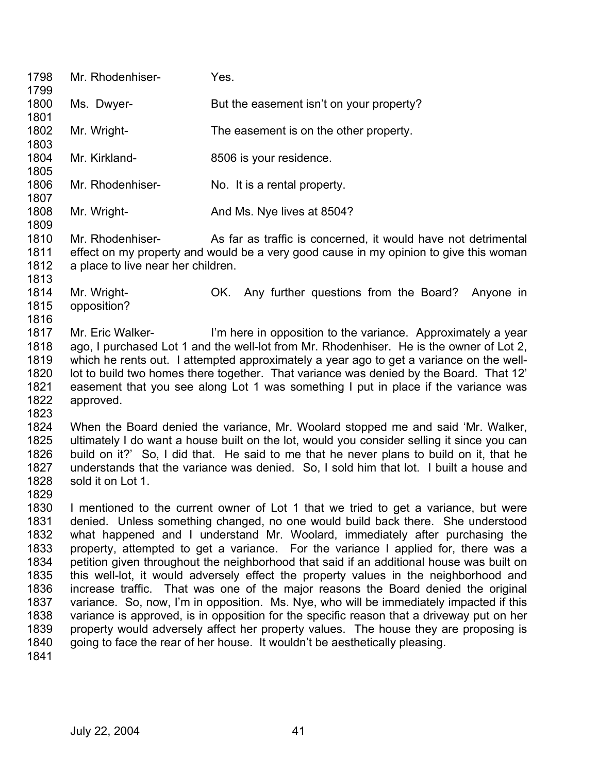| 1798<br>1799                                                                                                                                                                                                                                                                                                                                                                                                                                                                                                                | Mr. Rhodenhiser-                                       | Yes.                                                                                                                                                                                                                                                                                                                                                                                                                                                                                                                                                                                                                                                                                                                                                                                                                                                                                                                                                                                 |  |
|-----------------------------------------------------------------------------------------------------------------------------------------------------------------------------------------------------------------------------------------------------------------------------------------------------------------------------------------------------------------------------------------------------------------------------------------------------------------------------------------------------------------------------|--------------------------------------------------------|--------------------------------------------------------------------------------------------------------------------------------------------------------------------------------------------------------------------------------------------------------------------------------------------------------------------------------------------------------------------------------------------------------------------------------------------------------------------------------------------------------------------------------------------------------------------------------------------------------------------------------------------------------------------------------------------------------------------------------------------------------------------------------------------------------------------------------------------------------------------------------------------------------------------------------------------------------------------------------------|--|
| 1800<br>1801                                                                                                                                                                                                                                                                                                                                                                                                                                                                                                                | Ms. Dwyer-                                             | But the easement isn't on your property?                                                                                                                                                                                                                                                                                                                                                                                                                                                                                                                                                                                                                                                                                                                                                                                                                                                                                                                                             |  |
| 1802<br>1803                                                                                                                                                                                                                                                                                                                                                                                                                                                                                                                | Mr. Wright-                                            | The easement is on the other property.                                                                                                                                                                                                                                                                                                                                                                                                                                                                                                                                                                                                                                                                                                                                                                                                                                                                                                                                               |  |
| 1804<br>1805                                                                                                                                                                                                                                                                                                                                                                                                                                                                                                                | Mr. Kirkland-                                          | 8506 is your residence.                                                                                                                                                                                                                                                                                                                                                                                                                                                                                                                                                                                                                                                                                                                                                                                                                                                                                                                                                              |  |
| 1806<br>1807                                                                                                                                                                                                                                                                                                                                                                                                                                                                                                                | Mr. Rhodenhiser-                                       | No. It is a rental property.                                                                                                                                                                                                                                                                                                                                                                                                                                                                                                                                                                                                                                                                                                                                                                                                                                                                                                                                                         |  |
| 1808<br>1809                                                                                                                                                                                                                                                                                                                                                                                                                                                                                                                | Mr. Wright-                                            | And Ms. Nye lives at 8504?                                                                                                                                                                                                                                                                                                                                                                                                                                                                                                                                                                                                                                                                                                                                                                                                                                                                                                                                                           |  |
| 1810<br>1811<br>1812<br>1813                                                                                                                                                                                                                                                                                                                                                                                                                                                                                                | Mr. Rhodenhiser-<br>a place to live near her children. | As far as traffic is concerned, it would have not detrimental<br>effect on my property and would be a very good cause in my opinion to give this woman                                                                                                                                                                                                                                                                                                                                                                                                                                                                                                                                                                                                                                                                                                                                                                                                                               |  |
| 1814<br>1815<br>1816                                                                                                                                                                                                                                                                                                                                                                                                                                                                                                        | Mr. Wright-<br>opposition?                             | OK. Any further questions from the Board?<br>Anyone in                                                                                                                                                                                                                                                                                                                                                                                                                                                                                                                                                                                                                                                                                                                                                                                                                                                                                                                               |  |
| 1817<br>Mr. Eric Walker-<br>I'm here in opposition to the variance. Approximately a year<br>ago, I purchased Lot 1 and the well-lot from Mr. Rhodenhiser. He is the owner of Lot 2,<br>1818<br>1819<br>which he rents out. I attempted approximately a year ago to get a variance on the well-<br>1820<br>lot to build two homes there together. That variance was denied by the Board. That 12'<br>1821<br>easement that you see along Lot 1 was something I put in place if the variance was<br>1822<br>approved.<br>1823 |                                                        |                                                                                                                                                                                                                                                                                                                                                                                                                                                                                                                                                                                                                                                                                                                                                                                                                                                                                                                                                                                      |  |
| 1824<br>1825<br>1826<br>1827<br>1828<br>1829                                                                                                                                                                                                                                                                                                                                                                                                                                                                                | sold it on Lot 1.                                      | When the Board denied the variance, Mr. Woolard stopped me and said 'Mr. Walker,<br>ultimately I do want a house built on the lot, would you consider selling it since you can<br>build on it?' So, I did that. He said to me that he never plans to build on it, that he<br>understands that the variance was denied. So, I sold him that lot. I built a house and                                                                                                                                                                                                                                                                                                                                                                                                                                                                                                                                                                                                                  |  |
| 1830<br>1831<br>1832<br>1833<br>1834<br>1835<br>1836<br>1837<br>1838<br>1839<br>1840<br>1841                                                                                                                                                                                                                                                                                                                                                                                                                                |                                                        | I mentioned to the current owner of Lot 1 that we tried to get a variance, but were<br>denied. Unless something changed, no one would build back there. She understood<br>what happened and I understand Mr. Woolard, immediately after purchasing the<br>property, attempted to get a variance. For the variance I applied for, there was a<br>petition given throughout the neighborhood that said if an additional house was built on<br>this well-lot, it would adversely effect the property values in the neighborhood and<br>increase traffic. That was one of the major reasons the Board denied the original<br>variance. So, now, I'm in opposition. Ms. Nye, who will be immediately impacted if this<br>variance is approved, is in opposition for the specific reason that a driveway put on her<br>property would adversely affect her property values. The house they are proposing is<br>going to face the rear of her house. It wouldn't be aesthetically pleasing. |  |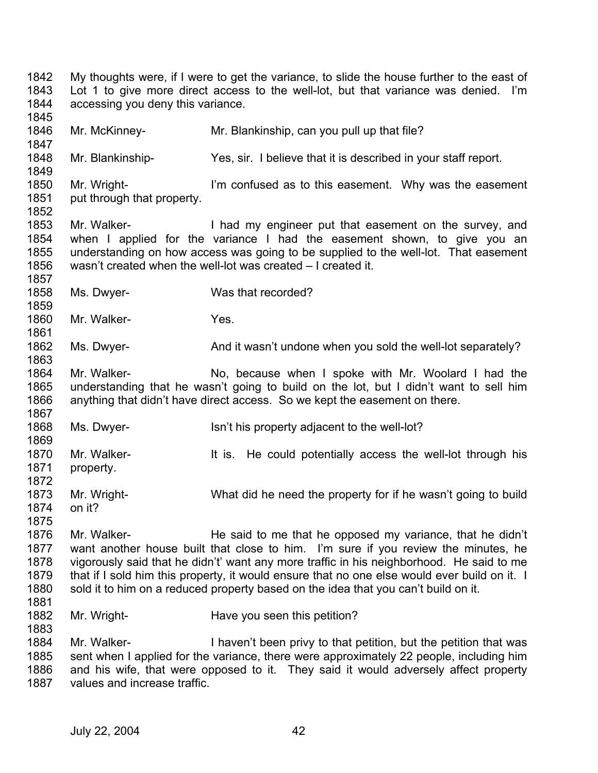1842 1843 1844 1845 1846 1847 1848 1849 1850 1851 1852 1853 1854 1855 1856 1857 1858 1859 1860 1861 1862 1863 1864 1865 1866 1867 1868 1869 1870 1871 1872 1873 1874 1875 1876 1877 1878 1879 1880 1881 1882 1883 1884 1885 1886 1887 My thoughts were, if I were to get the variance, to slide the house further to the east of Lot 1 to give more direct access to the well-lot, but that variance was denied. I'm accessing you deny this variance. Mr. McKinney- Mr. Blankinship, can you pull up that file? Mr. Blankinship- Yes, sir. I believe that it is described in your staff report. Mr. Wright- I'm confused as to this easement. Why was the easement put through that property. Mr. Walker- **I** had my engineer put that easement on the survey, and when I applied for the variance I had the easement shown, to give you an understanding on how access was going to be supplied to the well-lot. That easement wasn't created when the well-lot was created – I created it. Ms. Dwyer- Was that recorded? Mr. Walker- Yes. Ms. Dwyer- **And it wasn't undone when you sold the well-lot separately?** Mr. Walker- No, because when I spoke with Mr. Woolard I had the understanding that he wasn't going to build on the lot, but I didn't want to sell him anything that didn't have direct access. So we kept the easement on there. Ms. Dwyer- **Isn't his property adjacent to the well-lot?** Mr. Walker- **It is.** He could potentially access the well-lot through his property. Mr. Wright- What did he need the property for if he wasn't going to build on it? Mr. Walker- **He said to me that he opposed my variance**, that he didn't want another house built that close to him. I'm sure if you review the minutes, he vigorously said that he didn't' want any more traffic in his neighborhood. He said to me that if I sold him this property, it would ensure that no one else would ever build on it. I sold it to him on a reduced property based on the idea that you can't build on it. Mr. Wright- **Have you seen this petition?** Mr. Walker- **I** haven't been privy to that petition, but the petition that was sent when I applied for the variance, there were approximately 22 people, including him and his wife, that were opposed to it. They said it would adversely affect property values and increase traffic.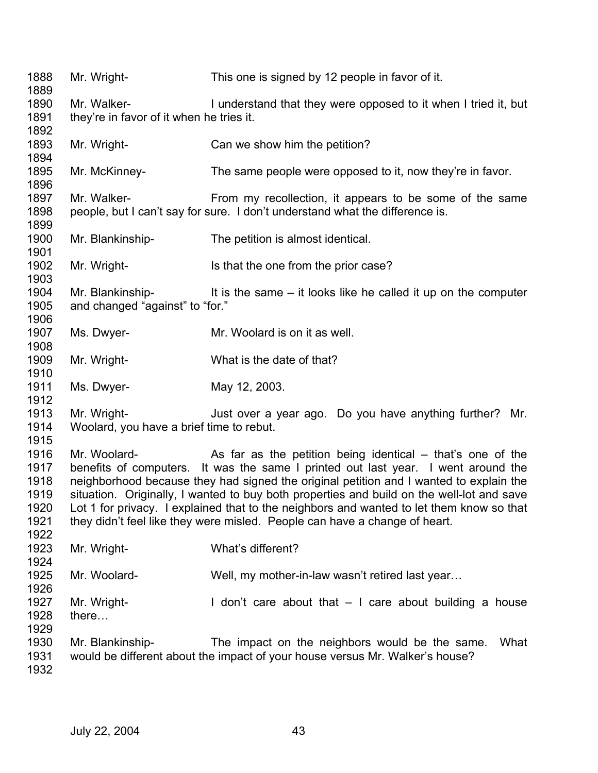| 1888<br>1889 | Mr. Wright-                              | This one is signed by 12 people in favor of it.                                           |
|--------------|------------------------------------------|-------------------------------------------------------------------------------------------|
| 1890         | Mr. Walker-                              | I understand that they were opposed to it when I tried it, but                            |
| 1891         | they're in favor of it when he tries it. |                                                                                           |
| 1892         |                                          |                                                                                           |
| 1893         | Mr. Wright-                              | Can we show him the petition?                                                             |
| 1894         |                                          |                                                                                           |
| 1895         | Mr. McKinney-                            | The same people were opposed to it, now they're in favor.                                 |
| 1896         |                                          |                                                                                           |
| 1897         |                                          |                                                                                           |
|              | Mr. Walker-                              | From my recollection, it appears to be some of the same                                   |
| 1898         |                                          | people, but I can't say for sure. I don't understand what the difference is.              |
| 1899         |                                          |                                                                                           |
| 1900         | Mr. Blankinship-                         | The petition is almost identical.                                                         |
| 1901         |                                          |                                                                                           |
| 1902         | Mr. Wright-                              | Is that the one from the prior case?                                                      |
| 1903         |                                          |                                                                                           |
| 1904         | Mr. Blankinship-                         | It is the same – it looks like he called it up on the computer                            |
| 1905         | and changed "against" to "for."          |                                                                                           |
| 1906         |                                          |                                                                                           |
| 1907         | Ms. Dwyer-                               | Mr. Woolard is on it as well.                                                             |
| 1908         |                                          |                                                                                           |
| 1909         | Mr. Wright-                              | What is the date of that?                                                                 |
| 1910         |                                          |                                                                                           |
| 1911         | Ms. Dwyer-                               | May 12, 2003.                                                                             |
| 1912         |                                          |                                                                                           |
| 1913         | Mr. Wright-                              | Just over a year ago. Do you have anything further? Mr.                                   |
| 1914         | Woolard, you have a brief time to rebut. |                                                                                           |
| 1915         |                                          |                                                                                           |
| 1916         | Mr. Woolard-                             | As far as the petition being identical $-$ that's one of the                              |
| 1917         |                                          | benefits of computers. It was the same I printed out last year. I went around the         |
| 1918         |                                          | neighborhood because they had signed the original petition and I wanted to explain the    |
| 1919         |                                          | situation. Originally, I wanted to buy both properties and build on the well-lot and save |
| 1920         |                                          | Lot 1 for privacy. I explained that to the neighbors and wanted to let them know so that  |
| 1921         |                                          | they didn't feel like they were misled. People can have a change of heart.                |
| 1922         |                                          |                                                                                           |
| 1923         | Mr. Wright-                              | What's different?                                                                         |
| 1924         |                                          |                                                                                           |
| 1925         | Mr. Woolard-                             | Well, my mother-in-law wasn't retired last year                                           |
| 1926         |                                          |                                                                                           |
| 1927         |                                          |                                                                                           |
| 1928         | Mr. Wright-                              | I don't care about that $-1$ care about building a house                                  |
|              | there                                    |                                                                                           |
| 1929         |                                          |                                                                                           |
| 1930         | Mr. Blankinship-                         | The impact on the neighbors would be the same.<br>What                                    |
| 1931         |                                          | would be different about the impact of your house versus Mr. Walker's house?              |
| 1932         |                                          |                                                                                           |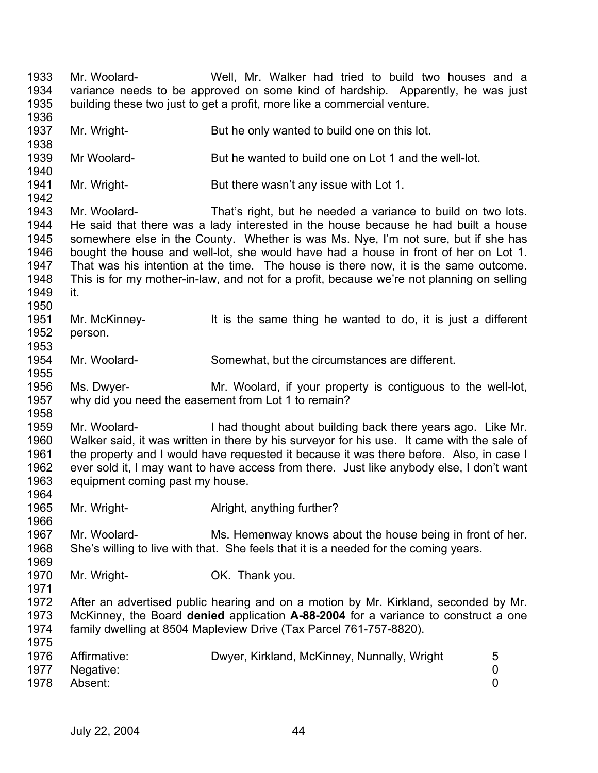1933 1934 1935 1936 1937 1938 1939 1940 1941 1942 1943 1944 1945 1946 1947 1948 1949 1950 1951 1952 1953 1954 1955 1956 1957 1958 1959 1960 1961 1962 1963 1964 1965 1966 1967 1968 1969 1970 1971 1972 1973 1974 1975 1976 1977 1978 Mr. Woolard- Well, Mr. Walker had tried to build two houses and a variance needs to be approved on some kind of hardship. Apparently, he was just building these two just to get a profit, more like a commercial venture. Mr. Wright- But he only wanted to build one on this lot. Mr Woolard- But he wanted to build one on Lot 1 and the well-lot. Mr. Wright- But there wasn't any issue with Lot 1. Mr. Woolard- That's right, but he needed a variance to build on two lots. He said that there was a lady interested in the house because he had built a house somewhere else in the County. Whether is was Ms. Nye, I'm not sure, but if she has bought the house and well-lot, she would have had a house in front of her on Lot 1. That was his intention at the time. The house is there now, it is the same outcome. This is for my mother-in-law, and not for a profit, because we're not planning on selling it. Mr. McKinney- It is the same thing he wanted to do, it is just a different person. Mr. Woolard- Somewhat, but the circumstances are different. Ms. Dwyer- Mr. Woolard, if your property is contiguous to the well-lot, why did you need the easement from Lot 1 to remain? Mr. Woolard- I had thought about building back there years ago. Like Mr. Walker said, it was written in there by his surveyor for his use. It came with the sale of the property and I would have requested it because it was there before. Also, in case I ever sold it, I may want to have access from there. Just like anybody else, I don't want equipment coming past my house. Mr. Wright- **Alright, anything further?** Mr. Woolard- Ms. Hemenway knows about the house being in front of her. She's willing to live with that. She feels that it is a needed for the coming years. Mr. Wright- **OK.** Thank you. After an advertised public hearing and on a motion by Mr. Kirkland, seconded by Mr. McKinney, the Board **denied** application **A-88-2004** for a variance to construct a one family dwelling at 8504 Mapleview Drive (Tax Parcel 761-757-8820). Affirmative: Dwyer, Kirkland, McKinney, Nunnally, Wright 5 Negative: 0 Absent: 0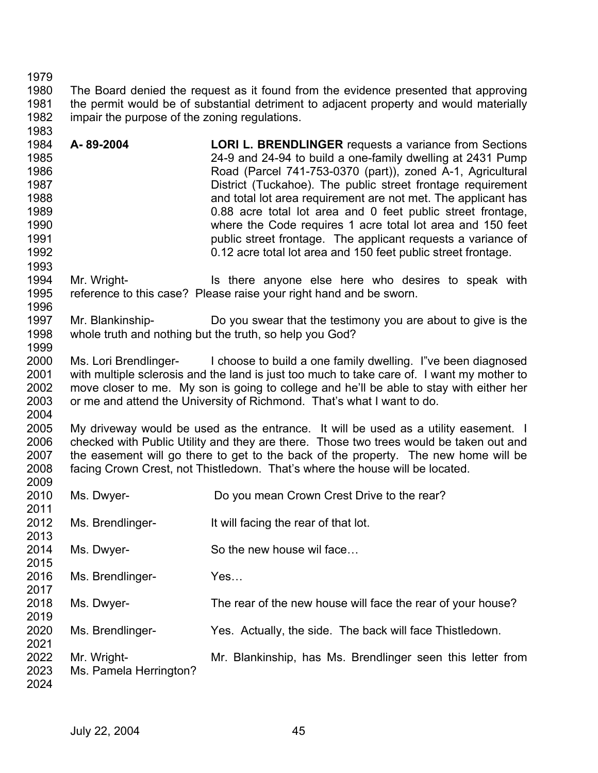1980 1981 1982 1983 The Board denied the request as it found from the evidence presented that approving the permit would be of substantial detriment to adjacent property and would materially impair the purpose of the zoning regulations.

1984 1985 1986 1987 1988 1989 1990 1991 1992 **A- 89-2004 LORI L. BRENDLINGER** requests a variance from Sections 24-9 and 24-94 to build a one-family dwelling at 2431 Pump Road (Parcel 741-753-0370 (part)), zoned A-1, Agricultural District (Tuckahoe). The public street frontage requirement and total lot area requirement are not met. The applicant has 0.88 acre total lot area and 0 feet public street frontage, where the Code requires 1 acre total lot area and 150 feet public street frontage. The applicant requests a variance of 0.12 acre total lot area and 150 feet public street frontage.

- 1994 1995 1996 Mr. Wright- The Is there anyone else here who desires to speak with reference to this case? Please raise your right hand and be sworn.
- 1997 1998 1999 Mr. Blankinship- Do you swear that the testimony you are about to give is the whole truth and nothing but the truth, so help you God?
- 2000 2001 2002 2003 2004 Ms. Lori Brendlinger- I choose to build a one family dwelling. I"ve been diagnosed with multiple sclerosis and the land is just too much to take care of. I want my mother to move closer to me. My son is going to college and he'll be able to stay with either her or me and attend the University of Richmond. That's what I want to do.

2005 2006 2007 2008 My driveway would be used as the entrance. It will be used as a utility easement. I checked with Public Utility and they are there. Those two trees would be taken out and the easement will go there to get to the back of the property. The new home will be facing Crown Crest, not Thistledown. That's where the house will be located.

| 2010 | Ms. Dwyer-             | Do you mean Crown Crest Drive to the rear?                  |
|------|------------------------|-------------------------------------------------------------|
| 2011 |                        |                                                             |
| 2012 | Ms. Brendlinger-       | It will facing the rear of that lot.                        |
| 2013 |                        |                                                             |
| 2014 | Ms. Dwyer-             | So the new house wil face                                   |
| 2015 |                        |                                                             |
| 2016 | Ms. Brendlinger-       | Yes                                                         |
| 2017 |                        |                                                             |
| 2018 | Ms. Dwyer-             | The rear of the new house will face the rear of your house? |
| 2019 |                        |                                                             |
| 2020 | Ms. Brendlinger-       | Yes. Actually, the side. The back will face Thistledown.    |
| 2021 |                        |                                                             |
| 2022 | Mr. Wright-            | Mr. Blankinship, has Ms. Brendlinger seen this letter from  |
| 2023 | Ms. Pamela Herrington? |                                                             |
| 2024 |                        |                                                             |

1979

1993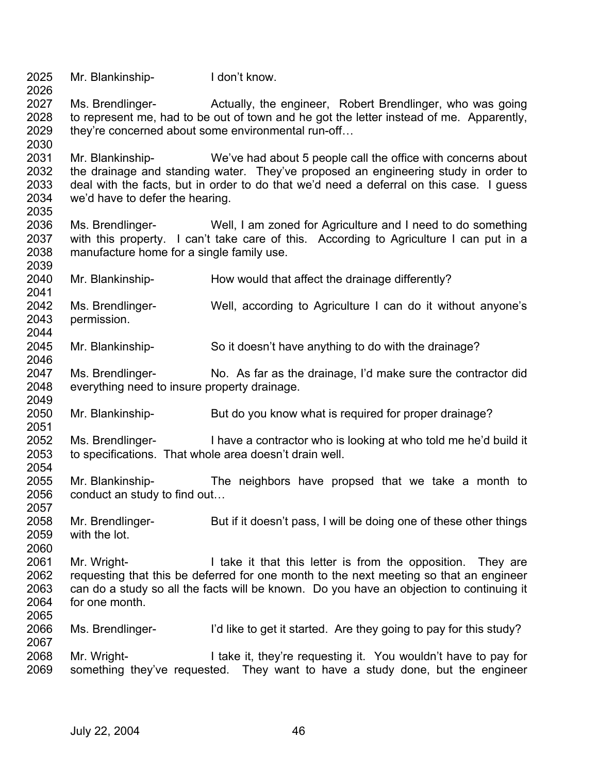2025 2026 2027 2028 2029 2030 2031 2032 2033 2034 2035 2036 2037 2038 2039 2040 2041 2042 2043 2044 2045 2046 2047 2048 2049 2050 2051 2052 2053 2054 2055 2056 2057 2058 2059 2060 2061 2062 2063 2064 2065 2066 2067 2068 2069 Mr. Blankinship-<br>
I don't know. Ms. Brendlinger- Actually, the engineer, Robert Brendlinger, who was going to represent me, had to be out of town and he got the letter instead of me. Apparently, they're concerned about some environmental run-off… Mr. Blankinship- We've had about 5 people call the office with concerns about the drainage and standing water. They've proposed an engineering study in order to deal with the facts, but in order to do that we'd need a deferral on this case. I guess we'd have to defer the hearing. Ms. Brendlinger- Well, I am zoned for Agriculture and I need to do something with this property. I can't take care of this. According to Agriculture I can put in a manufacture home for a single family use. Mr. Blankinship-<br>
How would that affect the drainage differently? Ms. Brendlinger- Well, according to Agriculture I can do it without anyone's permission. Mr. Blankinship- So it doesn't have anything to do with the drainage? Ms. Brendlinger- No. As far as the drainage, I'd make sure the contractor did everything need to insure property drainage. Mr. Blankinship- But do you know what is required for proper drainage? Ms. Brendlinger- I have a contractor who is looking at who told me he'd build it to specifications. That whole area doesn't drain well. Mr. Blankinship- The neighbors have propsed that we take a month to conduct an study to find out… Mr. Brendlinger- But if it doesn't pass, I will be doing one of these other things with the lot. Mr. Wright- **I** take it that this letter is from the opposition. They are requesting that this be deferred for one month to the next meeting so that an engineer can do a study so all the facts will be known. Do you have an objection to continuing it for one month. Ms. Brendlinger- I'd like to get it started. Are they going to pay for this study? Mr. Wright- I take it, they're requesting it. You wouldn't have to pay for something they've requested. They want to have a study done, but the engineer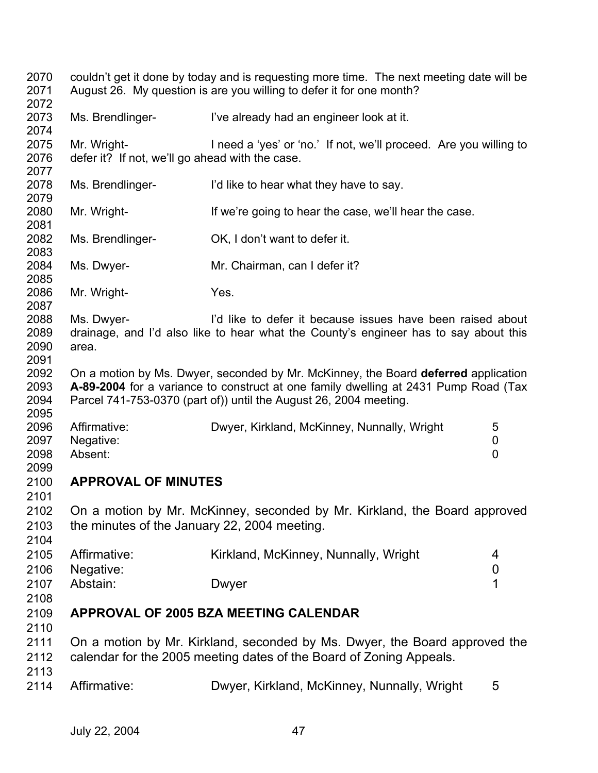| 2070<br>2071<br>2072         | couldn't get it done by today and is requesting more time. The next meeting date will be<br>August 26. My question is are you willing to defer it for one month? |                                                                                                                                                                                                                                                |                       |  |
|------------------------------|------------------------------------------------------------------------------------------------------------------------------------------------------------------|------------------------------------------------------------------------------------------------------------------------------------------------------------------------------------------------------------------------------------------------|-----------------------|--|
| 2073<br>2074                 | Ms. Brendlinger-                                                                                                                                                 | I've already had an engineer look at it.                                                                                                                                                                                                       |                       |  |
| 2075<br>2076<br>2077         | Mr. Wright-<br>defer it? If not, we'll go ahead with the case.                                                                                                   | I need a 'yes' or 'no.' If not, we'll proceed. Are you willing to                                                                                                                                                                              |                       |  |
| 2078<br>2079                 | Ms. Brendlinger-                                                                                                                                                 | I'd like to hear what they have to say.                                                                                                                                                                                                        |                       |  |
| 2080<br>2081                 | Mr. Wright-                                                                                                                                                      | If we're going to hear the case, we'll hear the case.                                                                                                                                                                                          |                       |  |
| 2082<br>2083                 | Ms. Brendlinger-                                                                                                                                                 | OK, I don't want to defer it.                                                                                                                                                                                                                  |                       |  |
| 2084<br>2085                 | Ms. Dwyer-                                                                                                                                                       | Mr. Chairman, can I defer it?                                                                                                                                                                                                                  |                       |  |
| 2086<br>2087                 | Mr. Wright-                                                                                                                                                      | Yes.                                                                                                                                                                                                                                           |                       |  |
| 2088<br>2089<br>2090<br>2091 | Ms. Dwyer-<br>area.                                                                                                                                              | I'd like to defer it because issues have been raised about<br>drainage, and I'd also like to hear what the County's engineer has to say about this                                                                                             |                       |  |
| 2092<br>2093<br>2094<br>2095 |                                                                                                                                                                  | On a motion by Ms. Dwyer, seconded by Mr. McKinney, the Board deferred application<br>A-89-2004 for a variance to construct at one family dwelling at 2431 Pump Road (Tax<br>Parcel 741-753-0370 (part of)) until the August 26, 2004 meeting. |                       |  |
| 2096<br>2097<br>2098<br>2099 | Affirmative:<br>Negative:<br>Absent:                                                                                                                             | Dwyer, Kirkland, McKinney, Nunnally, Wright                                                                                                                                                                                                    | 5<br>0<br>0           |  |
| 2100<br>2101                 | <b>APPROVAL OF MINUTES</b>                                                                                                                                       |                                                                                                                                                                                                                                                |                       |  |
| 2102<br>2103<br>2104         | the minutes of the January 22, 2004 meeting.                                                                                                                     | On a motion by Mr. McKinney, seconded by Mr. Kirkland, the Board approved                                                                                                                                                                      |                       |  |
| 2105<br>2106                 | Affirmative:<br>Negative:                                                                                                                                        | Kirkland, McKinney, Nunnally, Wright                                                                                                                                                                                                           | 4<br>$\boldsymbol{0}$ |  |
| 2107<br>2108                 | Abstain:                                                                                                                                                         | Dwyer                                                                                                                                                                                                                                          | 1                     |  |
| 2109<br>2110                 |                                                                                                                                                                  | <b>APPROVAL OF 2005 BZA MEETING CALENDAR</b>                                                                                                                                                                                                   |                       |  |
| 2111<br>2112<br>2113         |                                                                                                                                                                  | On a motion by Mr. Kirkland, seconded by Ms. Dwyer, the Board approved the<br>calendar for the 2005 meeting dates of the Board of Zoning Appeals.                                                                                              |                       |  |
| 2114                         | Affirmative:                                                                                                                                                     | Dwyer, Kirkland, McKinney, Nunnally, Wright                                                                                                                                                                                                    | 5                     |  |
|                              |                                                                                                                                                                  |                                                                                                                                                                                                                                                |                       |  |